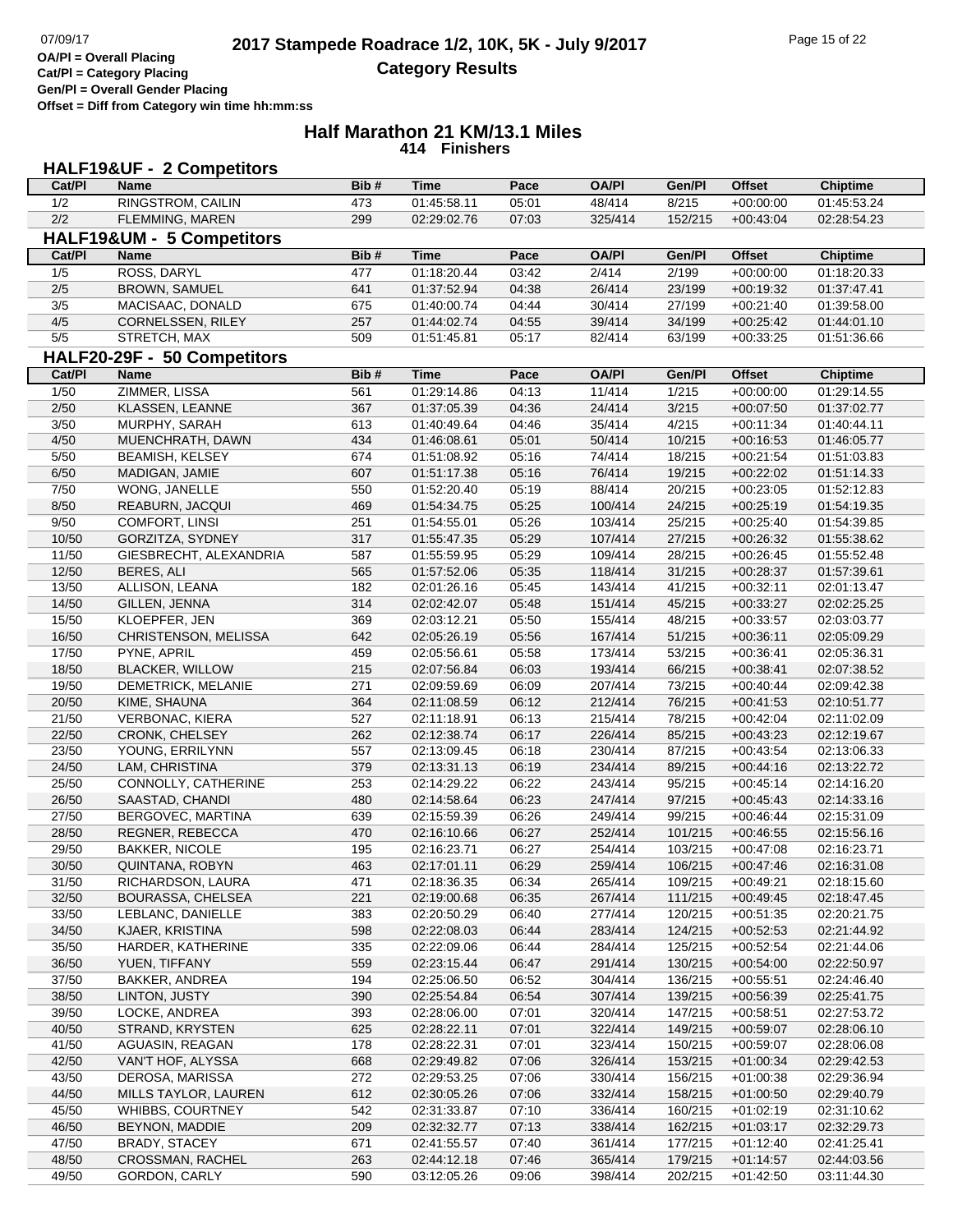**Cat/Pl = Category Placing Gen/Pl = Overall Gender Placing**

**Offset = Diff from Category win time hh:mm:ss**

#### **Half Marathon 21 KM/13.1 Miles 414 Finishers**

| <b>HALF19&amp;UF - 2 Competitors</b> |                                             |            |                            |                |                    |                    |                            |                            |  |
|--------------------------------------|---------------------------------------------|------------|----------------------------|----------------|--------------------|--------------------|----------------------------|----------------------------|--|
| Cat/PI                               | <b>Name</b>                                 | Bib#       | <b>Time</b>                | Pace           | <b>OA/PI</b>       | Gen/Pl             | <b>Offset</b>              | <b>Chiptime</b>            |  |
| 1/2                                  | <b>RINGSTROM, CAILIN</b>                    | 473        | 01:45:58.11                | 05:01          | 48/414             | 8/215              | $+00:00:00$                | 01:45:53.24                |  |
| 2/2                                  | FLEMMING, MAREN                             | 299        | 02:29:02.76                | 07:03          | 325/414            | 152/215            | $+00:43:04$                | 02:28:54.23                |  |
|                                      | HALF19&UM - 5 Competitors                   |            |                            |                |                    |                    |                            |                            |  |
| Cat/PI                               | <b>Name</b>                                 | Bib#       | <b>Time</b>                | Pace           | <b>OA/PI</b>       | Gen/Pl             | <b>Offset</b>              | <b>Chiptime</b>            |  |
| 1/5                                  | ROSS, DARYL                                 | 477        | 01:18:20.44                | 03:42          | 2/414              | 2/199              | $+00:00:00$                | 01:18:20.33                |  |
| 2/5                                  | BROWN, SAMUEL                               | 641        | 01:37:52.94                | 04:38          | 26/414             | 23/199             | $+00:19:32$                | 01:37:47.41                |  |
| 3/5                                  | MACISAAC, DONALD                            | 675        | 01:40:00.74                | 04:44          | 30/414             | 27/199             | $+00:21:40$                | 01:39:58.00                |  |
| 4/5                                  | CORNELSSEN, RILEY                           | 257        | 01:44:02.74                | 04:55          | 39/414             | 34/199             | $+00:25:42$                | 01:44:01.10                |  |
| $5/5$                                | STRETCH, MAX                                | 509        | 01:51:45.81                | 05:17          | 82/414             | 63/199             | $+00:33:25$                | 01:51:36.66                |  |
|                                      | HALF20-29F - 50 Competitors                 |            |                            |                |                    |                    |                            |                            |  |
| Cat/PI                               | Name                                        | Bib#       | <b>Time</b>                | Pace           | <b>OA/PI</b>       | Gen/Pl             | <b>Offset</b>              | <b>Chiptime</b>            |  |
| $\frac{1}{50}$                       | ZIMMER, LISSA                               | 561        | 01:29:14.86                | 04:13          | 11/414             | 1/215              | $+00:00:00$                | 01:29:14.55                |  |
| 2/50                                 | KLASSEN, LEANNE                             | 367        | 01:37:05.39                | 04:36          | 24/414             | 3/215              | $+00:07:50$                | 01:37:02.77                |  |
| 3/50                                 | MURPHY, SARAH                               | 613        | 01:40:49.64                | 04:46          | 35/414             | 4/215              | $+00:11:34$                | 01:40:44.11                |  |
| 4/50                                 | MUENCHRATH, DAWN                            | 434        | 01:46:08.61                | 05:01          | 50/414             | 10/215             | $+00:16:53$                | 01:46:05.77                |  |
| $5/50$                               | <b>BEAMISH, KELSEY</b>                      | 674        | 01:51:08.92                | 05:16          | 74/414             | 18/215             | $+00:21:54$                | 01:51:03.83                |  |
| 6/50                                 | MADIGAN, JAMIE                              | 607        | 01:51:17.38                | 05:16          | 76/414             | 19/215             | $+00:22:02$                | 01:51:14.33                |  |
| 7/50                                 | WONG, JANELLE                               | 550        | 01:52:20.40                | 05:19          | 88/414             | 20/215             | $+00:23:05$                | 01:52:12.83                |  |
| 8/50                                 | REABURN, JACQUI                             | 469        | 01:54:34.75                | 05:25          | 100/414            | 24/215             | $+00:25:19$                | 01:54:19.35                |  |
| 9/50                                 | <b>COMFORT, LINSI</b>                       | 251        | 01:54:55.01                | 05:26          | 103/414            | 25/215             | $+00:25:40$                | 01:54:39.85                |  |
| 10/50                                | GORZITZA, SYDNEY                            | 317        | 01:55:47.35                | 05:29          | 107/414            | 27/215             | $+00:26:32$                | 01:55:38.62                |  |
| 11/50                                | GIESBRECHT, ALEXANDRIA                      | 587        | 01:55:59.95                | 05:29          | 109/414            | 28/215             | $+00:26:45$                | 01:55:52.48                |  |
| 12/50                                | BERES, ALI                                  | 565        | 01:57:52.06                | 05:35          | 118/414            | 31/215             | $+00:28:37$                | 01:57:39.61                |  |
| 13/50                                | ALLISON, LEANA                              | 182        | 02:01:26.16                | 05:45          | 143/414            | 41/215             | $+00:32:11$                | 02:01:13.47                |  |
| 14/50                                | GILLEN, JENNA                               | 314        | 02:02:42.07                | 05:48          | 151/414            | 45/215             | $+00:33:27$                | 02:02:25.25                |  |
| 15/50                                | KLOEPFER, JEN                               | 369        | 02:03:12.21                | 05:50          | 155/414            | 48/215             | $+00:33:57$                | 02:03:03.77                |  |
| 16/50                                | CHRISTENSON, MELISSA                        | 642        | 02:05:26.19                | 05:56          | 167/414            | 51/215             | $+00:36:11$                | 02:05:09.29                |  |
| 17/50                                | PYNE, APRIL                                 | 459        | 02:05:56.61                | 05:58          | 173/414            | 53/215             | $+00:36:41$                | 02:05:36.31                |  |
| 18/50                                | <b>BLACKER, WILLOW</b>                      | 215        | 02:07:56.84                | 06:03          | 193/414            | 66/215             | $+00:38:41$                | 02:07:38.52                |  |
| 19/50                                | DEMETRICK, MELANIE                          | 271        | 02:09:59.69                | 06:09          | 207/414            | 73/215             | $+00:40:44$                | 02:09:42.38                |  |
| 20/50                                | KIME, SHAUNA                                | 364        | 02:11:08.59                | 06:12          | 212/414            | 76/215             | $+00:41:53$                | 02:10:51.77                |  |
| 21/50                                | <b>VERBONAC, KIERA</b>                      | 527        | 02:11:18.91                | 06:13          | 215/414            | 78/215             | $+00:42:04$                | 02:11:02.09                |  |
| 22/50                                | CRONK, CHELSEY                              | 262        | 02:12:38.74                | 06:17          | 226/414            | 85/215             | $+00:43:23$                | 02:12:19.67                |  |
| 23/50                                | YOUNG, ERRILYNN                             | 557        | 02:13:09.45                | 06:18          | 230/414            | 87/215             | $+00:43:54$                | 02:13:06.33                |  |
| 24/50                                | LAM, CHRISTINA                              | 379        | 02:13:31.13                | 06:19          | 234/414            | 89/215             | $+00:44:16$                | 02:13:22.72                |  |
| 25/50                                | CONNOLLY, CATHERINE                         | 253        | 02:14:29.22                | 06:22          | 243/414            | 95/215             | $+00:45:14$                | 02:14:16.20                |  |
| 26/50<br>27/50                       | SAASTAD, CHANDI                             | 480<br>639 | 02:14:58.64                | 06:23<br>06:26 | 247/414            | 97/215             | $+00:45:43$                | 02:14:33.16<br>02:15:31.09 |  |
|                                      | BERGOVEC, MARTINA<br><b>REGNER, REBECCA</b> | 470        | 02:15:59.39                | 06:27          | 249/414<br>252/414 | 99/215             | $+00.46:44$                |                            |  |
| 28/50                                |                                             |            | 02:16:10.66                |                | 254/414            | 101/215            | $+00:46:55$                | 02:15:56.16                |  |
| 29/50<br>30/50                       | <b>BAKKER, NICOLE</b><br>QUINTANA, ROBYN    | 195<br>463 | 02:16:23.71<br>02:17:01.11 | 06:27<br>06:29 | 259/414            | 103/215<br>106/215 | $+00:47:08$<br>$+00:47:46$ | 02:16:23.71<br>02:16:31.08 |  |
| 31/50                                | RICHARDSON, LAURA                           | 471        | 02:18:36.35                | 06:34          | 265/414            | 109/215            | $+00:49:21$                | 02:18:15.60                |  |
| 32/50                                | BOURASSA, CHELSEA                           | 221        | 02:19:00.68                | 06:35          | 267/414            | 111/215            | $+00:49:45$                | 02:18:47.45                |  |
| 33/50                                | LEBLANC, DANIELLE                           | 383        | 02:20:50.29                | 06:40          | 277/414            | 120/215            | $+00:51:35$                | 02:20:21.75                |  |
| 34/50                                | KJAER, KRISTINA                             | 598        | 02:22:08.03                | 06:44          | 283/414            | 124/215            | $+00:52:53$                | 02:21:44.92                |  |
| 35/50                                | HARDER, KATHERINE                           | 335        | 02:22:09.06                | 06:44          | 284/414            | 125/215            | $+00:52:54$                | 02:21:44.06                |  |
| 36/50                                | YUEN, TIFFANY                               | 559        | 02:23:15.44                | 06:47          | 291/414            | 130/215            | $+00:54:00$                | 02:22:50.97                |  |
| 37/50                                | <b>BAKKER, ANDREA</b>                       | 194        | 02:25:06.50                | 06:52          | 304/414            | 136/215            | $+00:55:51$                | 02:24:46.40                |  |
| 38/50                                | LINTON, JUSTY                               | 390        | 02:25:54.84                | 06:54          | 307/414            | 139/215            | $+00:56:39$                | 02:25:41.75                |  |
| 39/50                                | LOCKE, ANDREA                               | 393        | 02:28:06.00                | 07:01          | 320/414            | 147/215            | $+00:58:51$                | 02:27:53.72                |  |
| 40/50                                | STRAND, KRYSTEN                             | 625        | 02:28:22.11                | 07:01          | 322/414            | 149/215            | $+00:59:07$                | 02:28:06.10                |  |
| 41/50                                | AGUASIN, REAGAN                             | 178        | 02:28:22.31                | 07:01          | 323/414            | 150/215            | $+00:59:07$                | 02:28:06.08                |  |
| 42/50                                | VAN'T HOF, ALYSSA                           | 668        | 02:29:49.82                | 07:06          | 326/414            | 153/215            | $+01:00:34$                | 02:29:42.53                |  |
| 43/50                                | DEROSA, MARISSA                             | 272        | 02:29:53.25                | 07:06          | 330/414            | 156/215            | $+01:00:38$                | 02:29:36.94                |  |
| 44/50                                | MILLS TAYLOR, LAUREN                        | 612        | 02:30:05.26                | 07:06          | 332/414            | 158/215            | $+01:00:50$                | 02:29:40.79                |  |
| 45/50                                | WHIBBS, COURTNEY                            | 542        | 02:31:33.87                | 07:10          | 336/414            | 160/215            | $+01:02:19$                | 02:31:10.62                |  |
| 46/50                                | BEYNON, MADDIE                              | 209        | 02:32:32.77                | 07:13          | 338/414            | 162/215            | $+01:03:17$                | 02:32:29.73                |  |
| 47/50                                | <b>BRADY, STACEY</b>                        | 671        | 02:41:55.57                | 07:40          | 361/414            | 177/215            | $+01:12:40$                | 02:41:25.41                |  |
| 48/50                                | CROSSMAN, RACHEL                            | 263        | 02:44:12.18                | 07:46          | 365/414            | 179/215            | $+01:14:57$                | 02:44:03.56                |  |
| 49/50                                | GORDON, CARLY                               | 590        | 03:12:05.26                | 09:06          | 398/414            | 202/215            | $+01:42:50$                | 03:11:44.30                |  |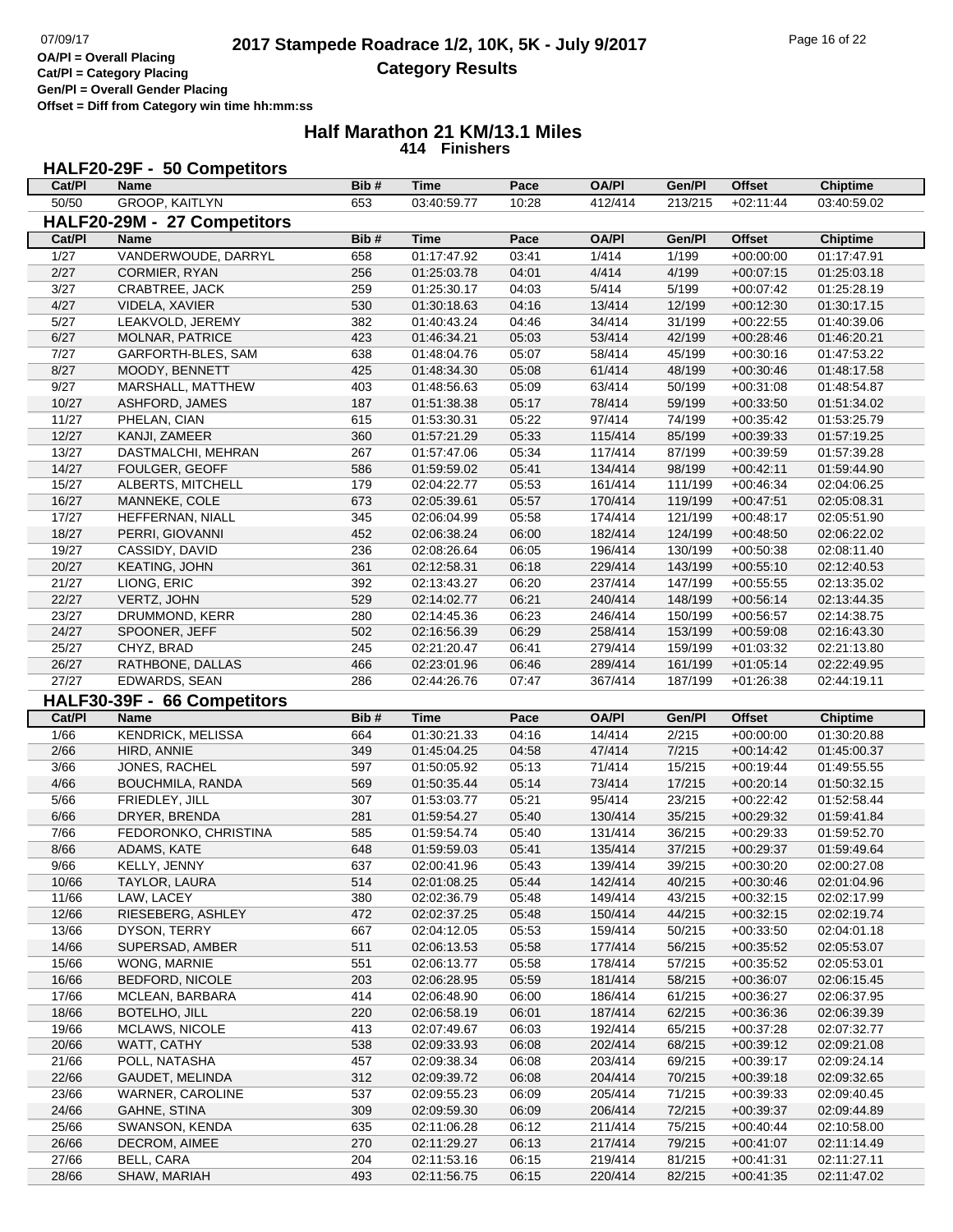**Cat/Pl = Category Placing Gen/Pl = Overall Gender Placing**

**Offset = Diff from Category win time hh:mm:ss**

#### **Half Marathon 21 KM/13.1 Miles 414 Finishers**

# **HALF20-29F - 50 Competitors**

| Cat/Pl         | Name                                       | Bib#       | Time                       | Pace           | <b>OA/PI</b>       | Gen/Pl           | Offset                     | <b>Chiptime</b>            |
|----------------|--------------------------------------------|------------|----------------------------|----------------|--------------------|------------------|----------------------------|----------------------------|
| 50/50          | <b>GROOP, KAITLYN</b>                      | 653        | 03:40:59.77                | 10:28          | 412/414            | 213/215          | $+02:11:44$                | 03:40:59.02                |
|                | HALF20-29M - 27 Competitors                |            |                            |                |                    |                  |                            |                            |
| Cat/PI         | <b>Name</b>                                | Bib#       | <b>Time</b>                | Pace           | <b>OA/PI</b>       | Gen/Pl           | <b>Offset</b>              | <b>Chiptime</b>            |
| $\frac{1}{27}$ | VANDERWOUDE, DARRYL                        | 658        | 01:17:47.92                | 03:41          | 1/414              | 1/199            | $+00:00:00$                | 01:17:47.91                |
| 2/27           | CORMIER, RYAN                              | 256        | 01:25:03.78                | 04:01          | 4/414              | 4/199            | $+00:07:15$                | 01:25:03.18                |
| 3/27           | CRABTREE, JACK                             | 259        | 01:25:30.17                | 04:03          | 5/414              | 5/199            | $+00:07:42$                | 01:25:28.19                |
| 4/27           | VIDELA, XAVIER                             | 530        | 01:30:18.63                | 04:16          | 13/414             | 12/199           | $+00:12:30$                | 01:30:17.15                |
| 5/27           | LEAKVOLD, JEREMY                           | 382        | 01:40:43.24                | 04:46          | 34/414             | 31/199           | $+00:22:55$                | 01:40:39.06                |
| 6/27           |                                            |            |                            |                | 53/414             |                  |                            |                            |
|                | MOLNAR, PATRICE                            | 423        | 01:46:34.21                | 05:03          |                    | 42/199           | $+00:28:46$                | 01:46:20.21                |
| 7/27           | GARFORTH-BLES, SAM                         | 638        | 01:48:04.76                | 05:07          | 58/414             | 45/199           | $+00:30:16$                | 01:47:53.22                |
| 8/27           | MOODY, BENNETT                             | 425        | 01:48:34.30                | 05:08          | 61/414             | 48/199           | $+00:30:46$                | 01:48:17.58                |
| 9/27           | MARSHALL, MATTHEW                          | 403        | 01:48:56.63                | 05:09          | 63/414             | 50/199           | $+00:31:08$                | 01:48:54.87                |
| 10/27          | <b>ASHFORD, JAMES</b>                      | 187        | 01:51:38.38                | 05:17          | 78/414             | 59/199           | $+00:33:50$                | 01:51:34.02                |
| 11/27          | PHELAN, CIAN                               | 615        | 01:53:30.31                | 05:22          | 97/414             | 74/199           | $+00:35:42$                | 01:53:25.79                |
| 12/27          | KANJI, ZAMEER                              | 360        | 01:57:21.29                | 05:33          | 115/414            | 85/199           | $+00:39:33$                | 01:57:19.25                |
| 13/27          | DASTMALCHI, MEHRAN                         | 267        | 01:57:47.06                | 05:34          | 117/414            | 87/199           | $+00:39:59$                | 01:57:39.28                |
| 14/27          | FOULGER, GEOFF                             | 586        | 01:59:59.02                | 05:41          | 134/414            | 98/199           | $+00:42:11$                | 01:59:44.90                |
| 15/27          | ALBERTS, MITCHELL                          | 179        | 02:04:22.77                | 05:53          | 161/414            | 111/199          | $+00:46:34$                | 02:04:06.25                |
| 16/27          | MANNEKE, COLE                              | 673        | 02:05:39.61                | 05:57          | 170/414            | 119/199          | $+00:47:51$                | 02:05:08.31                |
| 17/27          | HEFFERNAN, NIALL                           | 345        | 02:06:04.99                | 05:58          | 174/414            | 121/199          | $+00:48:17$                | 02:05:51.90                |
| 18/27          | PERRI, GIOVANNI                            | 452        | 02:06:38.24                | 06:00          | 182/414            | 124/199          | $+00:48:50$                | 02:06:22.02                |
| 19/27          | CASSIDY, DAVID                             | 236        | 02:08:26.64                | 06:05          | 196/414            | 130/199          | $+00:50:38$                | 02:08:11.40                |
| 20/27          | KEATING, JOHN                              | 361        | 02:12:58.31                | 06:18          | 229/414            | 143/199          | $+00:55:10$                | 02:12:40.53                |
| 21/27          | LIONG, ERIC                                | 392        | 02:13:43.27                | 06:20          | 237/414            | 147/199          | $+00:55:55$                | 02:13:35.02                |
| 22/27          | VERTZ, JOHN                                | 529        | 02:14:02.77                | 06:21          | 240/414            | 148/199          | $+00:56:14$                | 02:13:44.35                |
| 23/27          | DRUMMOND, KERR                             | 280        | 02:14:45.36                | 06:23          | 246/414            | 150/199          | $+00:56:57$                | 02:14:38.75                |
| 24/27          | SPOONER, JEFF                              | 502        | 02:16:56.39                | 06:29          | 258/414            | 153/199          | $+00:59:08$                | 02:16:43.30                |
| 25/27          | CHYZ, BRAD                                 | 245        | 02:21:20.47                | 06:41          | 279/414            | 159/199          | $+01:03:32$                | 02:21:13.80                |
| 26/27          | RATHBONE, DALLAS                           | 466        | 02:23:01.96                | 06:46          | 289/414            | 161/199          | $+01:05:14$                | 02:22:49.95                |
| 27/27          | EDWARDS, SEAN                              | 286        | 02:44:26.76                | 07:47          | 367/414            | 187/199          | $+01:26:38$                | 02:44:19.11                |
|                |                                            |            |                            |                |                    |                  |                            |                            |
|                |                                            |            |                            |                |                    |                  |                            |                            |
| Cat/PI         | HALF30-39F - 66 Competitors<br><b>Name</b> | Bib#       | <b>Time</b>                | Pace           | <b>OA/PI</b>       | Gen/PI           | <b>Offset</b>              | <b>Chiptime</b>            |
|                |                                            | 664        | 01:30:21.33                | 04:16          | 14/414             |                  |                            | 01:30:20.88                |
| 1/66           | <b>KENDRICK, MELISSA</b>                   | 349        |                            |                |                    | 2/215            | $+00:00:00$                |                            |
| 2/66           | HIRD, ANNIE                                |            | 01:45:04.25                | 04:58          | 47/414             | 7/215            | $+00:14:42$                | 01:45:00.37                |
| 3/66           | JONES, RACHEL                              | 597        | 01:50:05.92                | 05:13          | 71/414             | 15/215           | $+00:19:44$                | 01:49:55.55                |
| 4/66           | BOUCHMILA, RANDA                           | 569        | 01:50:35.44                | 05:14          | 73/414             | 17/215           | $+00:20:14$                | 01:50:32.15                |
| 5/66           | FRIEDLEY, JILL                             | 307        | 01:53:03.77                | 05:21          | 95/414             | 23/215           | $+00:22:42$                | 01:52:58.44                |
| 6/66           | DRYER, BRENDA                              | 281        | 01:59:54.27                | 05:40          | 130/414            | 35/215           | $+00:29:32$                | 01:59:41.84                |
| 7/66           | FEDORONKO, CHRISTINA                       | 585        | 01:59:54.74                | 05:40          | 131/414            | 36/215           | $+00:29:33$                | 01:59:52.70                |
| 8/66           | ADAMS, KATE                                | 648        | 01:59:59.03                | 05:41          | 135/414            | 37/215           | $+00:29:37$                | 01:59:49.64                |
| 9/66           | KELLY, JENNY                               | 637        | 02:00:41.96                | 05:43          | 139/414            | 39/215           | $+00:30:20$                | 02:00:27.08                |
| 10/66          | TAYLOR, LAURA                              | 514        | 02:01:08.25                | 05:44          | 142/414            | 40/215           | $+00:30:46$                | 02:01:04.96                |
| 11/66          | LAW, LACEY                                 | 380        | 02:02:36.79                | 05:48          | 149/414            | 43/215           | $+00:32:15$                | 02:02:17.99                |
| 12/66          | RIESEBERG, ASHLEY                          | 472        | 02:02:37.25                | 05:48          | 150/414            | 44/215           | $+00:32:15$                | 02:02:19.74                |
| 13/66          | DYSON, TERRY                               | 667        | 02:04:12.05                | 05:53          | 159/414            | 50/215           | $+00:33:50$                | 02:04:01.18                |
| 14/66          | SUPERSAD, AMBER                            | 511        | 02:06:13.53                | 05:58          | 177/414            | 56/215           | $+00:35:52$                | 02:05:53.07                |
| 15/66          | WONG, MARNIE                               | 551        | 02:06:13.77                | 05:58          | 178/414            | 57/215           | $+00.35.52$                | 02:05:53.01                |
| 16/66          | <b>BEDFORD, NICOLE</b>                     | 203        | 02:06:28.95                | 05:59          | 181/414            | 58/215           | $+00:36:07$                | 02:06:15.45                |
| 17/66          | MCLEAN, BARBARA                            | 414        | 02:06:48.90                | 06:00          | 186/414            | 61/215           | $+00:36:27$                | 02:06:37.95                |
| 18/66          | BOTELHO, JILL                              | 220        | 02:06:58.19                | 06:01          | 187/414            | 62/215           | $+00:36:36$                | 02:06:39.39                |
| 19/66          | <b>MCLAWS, NICOLE</b>                      | 413        | 02:07:49.67                | 06:03          | 192/414            | 65/215           | $+00:37:28$                | 02:07:32.77                |
| 20/66          | WATT, CATHY                                | 538        | 02:09:33.93                | 06:08          | 202/414            | 68/215           | $+00:39:12$                | 02:09:21.08                |
| 21/66          | POLL, NATASHA                              | 457        | 02:09:38.34                | 06:08          | 203/414            | 69/215           | $+00:39:17$                | 02:09:24.14                |
| 22/66          | GAUDET, MELINDA                            | 312        | 02:09:39.72                | 06:08          | 204/414            | 70/215           | $+00:39:18$                | 02:09:32.65                |
| 23/66          | WARNER, CAROLINE                           | 537        | 02:09:55.23                | 06:09          | 205/414            | 71/215           | $+00:39:33$                | 02:09:40.45                |
| 24/66          | GAHNE, STINA                               | 309        | 02:09:59.30                | 06:09          | 206/414            | 72/215           | $+00:39:37$                | 02:09:44.89                |
| 25/66          | SWANSON, KENDA                             | 635        | 02:11:06.28                | 06:12          | 211/414            | 75/215           | $+00:40:44$                | 02:10:58.00                |
| 26/66          | DECROM, AIMEE                              | 270        | 02:11:29.27                | 06:13          | 217/414            | 79/215           | $+00:41:07$                | 02:11:14.49                |
| 27/66<br>28/66 | BELL, CARA<br>SHAW, MARIAH                 | 204<br>493 | 02:11:53.16<br>02:11:56.75 | 06:15<br>06:15 | 219/414<br>220/414 | 81/215<br>82/215 | $+00:41:31$<br>$+00:41:35$ | 02:11:27.11<br>02:11:47.02 |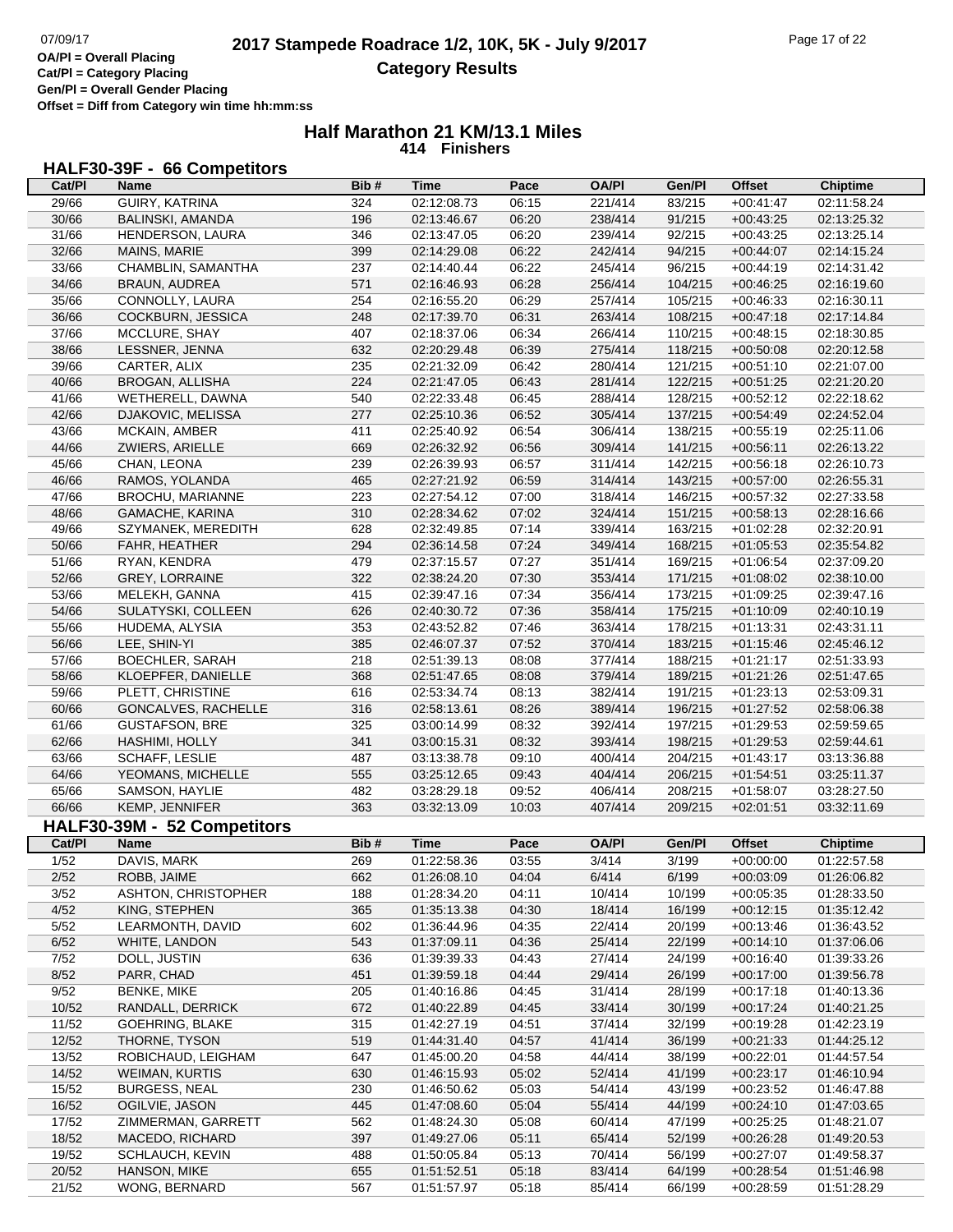┑

**Cat/Pl = Category Placing Gen/Pl = Overall Gender Placing**

**Offset = Diff from Category win time hh:mm:ss**

# **Half Marathon 21 KM/13.1 Miles 414 Finishers**

# **HALF30-39F - 66 Competitors**

| Cat/PI | Name                        | Bib# | <b>Time</b> | Pace  | <b>OA/PI</b> | Gen/Pl  | <b>Offset</b> | <b>Chiptime</b> |
|--------|-----------------------------|------|-------------|-------|--------------|---------|---------------|-----------------|
| 29/66  | GUIRY, KATRINA              | 324  | 02:12:08.73 | 06:15 | 221/414      | 83/215  | $+00:41:47$   | 02:11:58.24     |
| 30/66  | <b>BALINSKI, AMANDA</b>     | 196  | 02:13:46.67 | 06:20 | 238/414      | 91/215  | $+00:43:25$   | 02:13:25.32     |
| 31/66  | HENDERSON, LAURA            | 346  | 02:13:47.05 | 06:20 | 239/414      | 92/215  | $+00:43:25$   | 02:13:25.14     |
| 32/66  | <b>MAINS, MARIE</b>         | 399  | 02:14:29.08 | 06:22 | 242/414      | 94/215  | $+00:44:07$   | 02:14:15.24     |
| 33/66  | CHAMBLIN, SAMANTHA          | 237  | 02:14:40.44 | 06:22 | 245/414      | 96/215  | $+00:44:19$   | 02:14:31.42     |
| 34/66  | BRAUN, AUDREA               | 571  | 02:16:46.93 | 06:28 | 256/414      | 104/215 | $+00:46:25$   | 02:16:19.60     |
| 35/66  | CONNOLLY, LAURA             | 254  | 02:16:55.20 | 06:29 | 257/414      | 105/215 | $+00:46:33$   | 02:16:30.11     |
| 36/66  | COCKBURN, JESSICA           | 248  | 02:17:39.70 | 06:31 | 263/414      | 108/215 | $+00:47:18$   | 02:17:14.84     |
| 37/66  | MCCLURE, SHAY               | 407  | 02:18:37.06 | 06:34 | 266/414      | 110/215 | $+00:48:15$   | 02:18:30.85     |
| 38/66  | LESSNER, JENNA              | 632  | 02:20:29.48 | 06:39 | 275/414      | 118/215 | $+00:50:08$   | 02:20:12.58     |
| 39/66  | CARTER, ALIX                | 235  | 02:21:32.09 | 06:42 | 280/414      | 121/215 | $+00:51:10$   | 02:21:07.00     |
| 40/66  | BROGAN, ALLISHA             | 224  | 02:21:47.05 | 06:43 | 281/414      | 122/215 | $+00:51:25$   | 02:21:20.20     |
| 41/66  | WETHERELL, DAWNA            | 540  | 02:22:33.48 | 06:45 | 288/414      | 128/215 | $+00:52:12$   | 02:22:18.62     |
| 42/66  | DJAKOVIC, MELISSA           | 277  | 02:25:10.36 | 06:52 | 305/414      | 137/215 | $+00:54:49$   | 02:24:52.04     |
| 43/66  | <b>MCKAIN, AMBER</b>        | 411  | 02:25:40.92 | 06:54 | 306/414      | 138/215 | $+00:55:19$   | 02:25:11.06     |
| 44/66  | ZWIERS, ARIELLE             | 669  | 02:26:32.92 | 06:56 | 309/414      | 141/215 | $+00:56:11$   | 02:26:13.22     |
| 45/66  | CHAN, LEONA                 | 239  | 02:26:39.93 | 06:57 | 311/414      | 142/215 | $+00:56:18$   | 02:26:10.73     |
| 46/66  | RAMOS, YOLANDA              | 465  | 02:27:21.92 | 06:59 | 314/414      | 143/215 | $+00:57:00$   | 02:26:55.31     |
| 47/66  | BROCHU, MARIANNE            | 223  | 02:27:54.12 | 07:00 | 318/414      | 146/215 | $+00:57:32$   | 02:27:33.58     |
| 48/66  | GAMACHE, KARINA             | 310  | 02:28:34.62 | 07:02 | 324/414      | 151/215 | $+00:58:13$   | 02:28:16.66     |
| 49/66  | SZYMANEK, MEREDITH          | 628  | 02:32:49.85 | 07:14 | 339/414      | 163/215 | $+01:02:28$   | 02:32:20.91     |
| 50/66  | FAHR, HEATHER               | 294  | 02:36:14.58 | 07:24 | 349/414      | 168/215 | $+01:05:53$   | 02:35:54.82     |
| 51/66  | RYAN, KENDRA                | 479  | 02:37:15.57 | 07:27 | 351/414      | 169/215 | $+01:06:54$   | 02:37:09.20     |
| 52/66  | <b>GREY, LORRAINE</b>       | 322  | 02:38:24.20 | 07:30 | 353/414      | 171/215 | $+01:08:02$   | 02:38:10.00     |
| 53/66  | MELEKH, GANNA               | 415  | 02:39:47.16 | 07:34 | 356/414      | 173/215 | $+01:09:25$   | 02:39:47.16     |
| 54/66  | SULATYSKI, COLLEEN          | 626  | 02:40:30.72 | 07:36 | 358/414      | 175/215 | $+01:10:09$   | 02:40:10.19     |
| 55/66  | HUDEMA, ALYSIA              | 353  | 02:43:52.82 | 07:46 | 363/414      | 178/215 | $+01:13:31$   | 02:43:31.11     |
| 56/66  | LEE, SHIN-YI                | 385  | 02:46:07.37 | 07:52 | 370/414      | 183/215 | $+01:15:46$   | 02:45:46.12     |
| 57/66  | <b>BOECHLER, SARAH</b>      | 218  | 02:51:39.13 | 08:08 | 377/414      | 188/215 | $+01:21:17$   | 02:51:33.93     |
| 58/66  | KLOEPFER, DANIELLE          | 368  | 02:51:47.65 | 08:08 | 379/414      | 189/215 | $+01:21:26$   | 02:51:47.65     |
| 59/66  | PLETT, CHRISTINE            | 616  | 02:53:34.74 | 08:13 | 382/414      | 191/215 | $+01:23:13$   | 02:53:09.31     |
| 60/66  | GONCALVES, RACHELLE         | 316  | 02:58:13.61 | 08:26 | 389/414      | 196/215 | $+01:27:52$   | 02:58:06.38     |
| 61/66  | <b>GUSTAFSON, BRE</b>       | 325  | 03:00:14.99 | 08:32 | 392/414      | 197/215 | $+01:29:53$   | 02:59:59.65     |
| 62/66  | HASHIMI, HOLLY              | 341  | 03:00:15.31 | 08:32 | 393/414      | 198/215 | $+01:29:53$   | 02:59:44.61     |
| 63/66  | SCHAFF, LESLIE              | 487  | 03:13:38.78 | 09:10 | 400/414      | 204/215 | $+01:43:17$   | 03:13:36.88     |
| 64/66  | YEOMANS, MICHELLE           | 555  | 03:25:12.65 | 09:43 | 404/414      | 206/215 | $+01:54:51$   | 03:25:11.37     |
| 65/66  | SAMSON, HAYLIE              | 482  | 03:28:29.18 | 09:52 | 406/414      | 208/215 | $+01:58:07$   | 03:28:27.50     |
| 66/66  | KEMP, JENNIFER              | 363  | 03:32:13.09 | 10:03 | 407/414      | 209/215 | $+02:01:51$   | 03:32:11.69     |
|        | HALF30-39M - 52 Competitors |      |             |       |              |         |               |                 |
| Cat/PI | <b>Name</b>                 | Bib# | <b>Time</b> | Pace  | <b>OA/PI</b> | Gen/Pl  | <b>Offset</b> | <b>Chiptime</b> |
| 1/52   | DAVIS, MARK                 | 269  | 01:22:58.36 | 03:55 | 3/414        | 3/199   | $+00:00:00$   | 01:22:57.58     |
| 2/52   | ROBB, JAIME                 | 662  | 01:26:08.10 | 04:04 | 6/414        | 6/199   | $+00:03:09$   | 01:26:06.82     |
| 3/52   | <b>ASHTON, CHRISTOPHER</b>  | 188  | 01:28:34.20 | 04:11 | 10/414       | 10/199  | $+00:05:35$   | 01:28:33.50     |
| 4/52   | KING, STEPHEN               | 365  | 01:35:13.38 | 04:30 | 18/414       | 16/199  | $+00:12:15$   | 01:35:12.42     |
| 5/52   | LEARMONTH, DAVID            | 602  | 01:36:44.96 | 04:35 | 22/414       | 20/199  | $+00:13:46$   | 01:36:43.52     |
| 6/52   | WHITE, LANDON               | 543  | 01:37:09.11 | 04:36 | 25/414       | 22/199  | $+00:14:10$   | 01:37:06.06     |
| 7/52   | DOLL, JUSTIN                | 636  | 01:39:39.33 | 04:43 | 27/414       | 24/199  | $+00:16:40$   | 01:39:33.26     |
| 8/52   | PARR, CHAD                  | 451  | 01:39:59.18 | 04:44 | 29/414       | 26/199  | $+00:17:00$   | 01:39:56.78     |
| 9/52   | <b>BENKE, MIKE</b>          | 205  | 01:40:16.86 | 04:45 | 31/414       | 28/199  | $+00:17:18$   | 01:40:13.36     |
| 10/52  | RANDALL, DERRICK            | 672  | 01:40:22.89 | 04:45 | 33/414       | 30/199  | $+00:17:24$   | 01:40:21.25     |
| 11/52  | GOEHRING, BLAKE             | 315  | 01:42:27.19 | 04:51 | 37/414       | 32/199  | $+00:19:28$   | 01:42:23.19     |
| 12/52  | THORNE, TYSON               | 519  | 01:44:31.40 | 04:57 | 41/414       | 36/199  | $+00:21:33$   | 01:44:25.12     |
| 13/52  | ROBICHAUD, LEIGHAM          | 647  | 01:45:00.20 | 04:58 | 44/414       | 38/199  | $+00:22:01$   | 01:44:57.54     |
| 14/52  | <b>WEIMAN, KURTIS</b>       | 630  | 01:46:15.93 | 05:02 | 52/414       | 41/199  | $+00:23:17$   | 01:46:10.94     |
| 15/52  | <b>BURGESS, NEAL</b>        | 230  | 01:46:50.62 | 05:03 | 54/414       | 43/199  | $+00:23:52$   | 01:46:47.88     |
| 16/52  | OGILVIE, JASON              | 445  | 01:47:08.60 | 05:04 | 55/414       | 44/199  | $+00:24:10$   | 01:47:03.65     |
| 17/52  | ZIMMERMAN, GARRETT          | 562  | 01:48:24.30 | 05:08 | 60/414       | 47/199  | $+00:25:25$   | 01:48:21.07     |
| 18/52  | MACEDO, RICHARD             | 397  | 01:49:27.06 | 05:11 | 65/414       | 52/199  | $+00:26:28$   | 01:49:20.53     |
| 19/52  | SCHLAUCH, KEVIN             | 488  | 01:50:05.84 | 05:13 | 70/414       | 56/199  | $+00:27:07$   | 01:49:58.37     |
| 20/52  | HANSON, MIKE                | 655  | 01:51:52.51 | 05:18 | 83/414       | 64/199  | $+00:28:54$   | 01:51:46.98     |
| 21/52  | WONG, BERNARD               | 567  | 01:51:57.97 | 05:18 | 85/414       | 66/199  | $+00:28:59$   | 01:51:28.29     |
|        |                             |      |             |       |              |         |               |                 |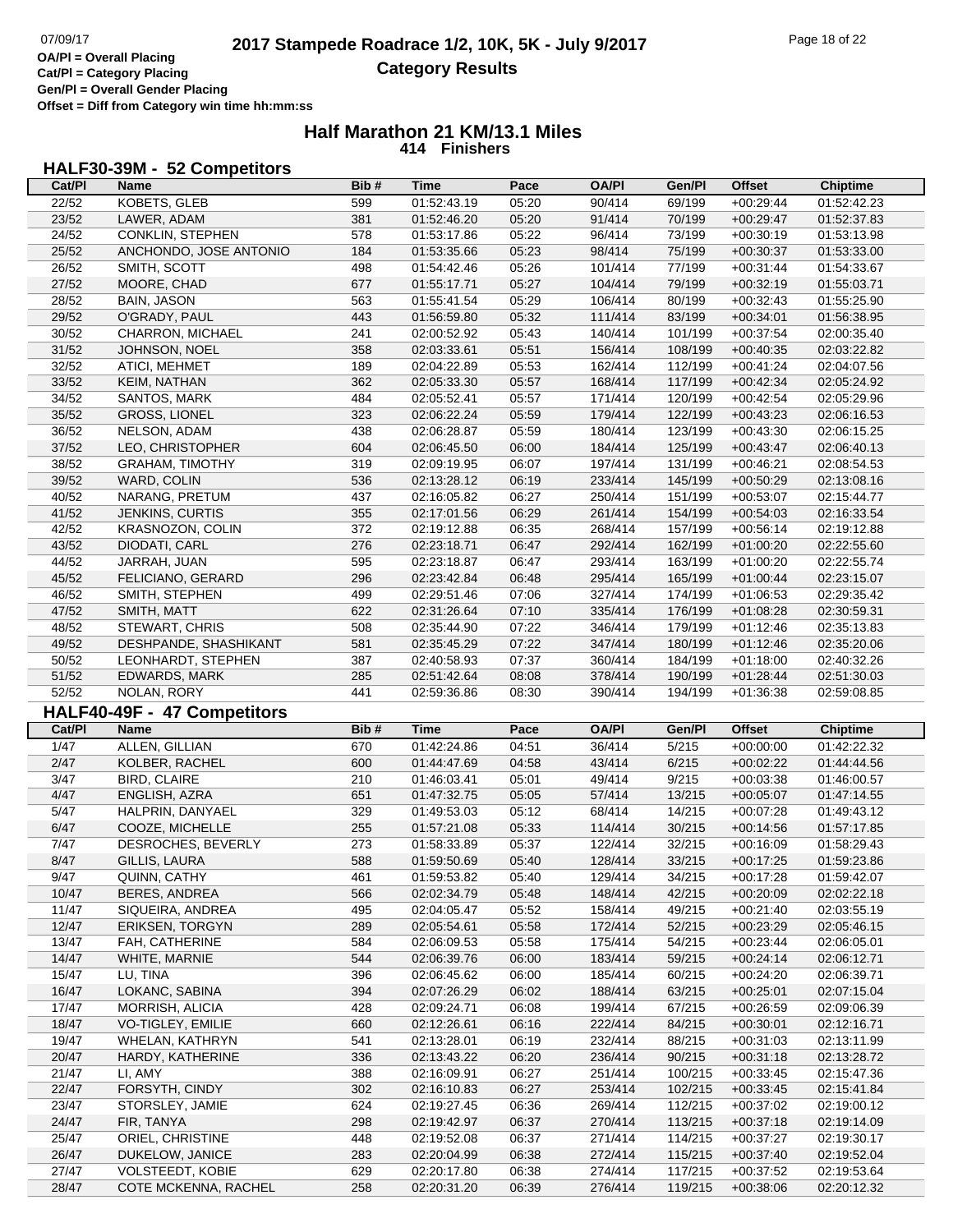**Gen/Pl = Overall Gender Placing Offset = Diff from Category win time hh:mm:ss**

## **Half Marathon 21 KM/13.1 Miles 414 Finishers**

## **HALF30-39M - 52 Competitors**

|                | Name                                       | Bib#       | Time                       | Pace           | <b>OA/PI</b>       | Gen/Pl             | Offset                     | <b>Chiptime</b>            |
|----------------|--------------------------------------------|------------|----------------------------|----------------|--------------------|--------------------|----------------------------|----------------------------|
| 22/52          | KOBETS, GLEB                               | 599        | 01:52:43.19                | 05:20          | 90/414             | 69/199             | $+00:29:44$                | 01:52:42.23                |
| 23/52          | LAWER, ADAM                                | 381        | 01:52:46.20                | 05:20          | 91/414             | 70/199             | $+00:29:47$                | 01:52:37.83                |
| 24/52          | CONKLIN, STEPHEN                           | 578        | 01:53:17.86                | 05:22          | 96/414             | 73/199             | $+00:30:19$                | 01:53:13.98                |
| 25/52          | ANCHONDO, JOSE ANTONIO                     | 184        | 01:53:35.66                | 05:23          | 98/414             | 75/199             | $+00:30:37$                | 01:53:33.00                |
| 26/52          | SMITH, SCOTT                               | 498        | 01:54:42.46                | 05:26          | 101/414            | 77/199             | $+00:31:44$                | 01:54:33.67                |
| 27/52          | MOORE, CHAD                                | 677        | 01:55:17.71                | 05:27          | 104/414            | 79/199             | $+00:32:19$                | 01:55:03.71                |
| 28/52          | <b>BAIN, JASON</b>                         | 563        | 01:55:41.54                | 05:29          | 106/414            | 80/199             | $+00:32:43$                | 01:55:25.90                |
| 29/52          | O'GRADY, PAUL                              | 443        | 01:56:59.80                | 05:32          | 111/414            | 83/199             | $+00:34:01$                | 01:56:38.95                |
| 30/52          | CHARRON, MICHAEL                           | 241        | 02:00:52.92                | 05:43          | 140/414            | 101/199            | $+00:37:54$                | 02:00:35.40                |
| 31/52          | JOHNSON, NOEL                              | 358        | 02:03:33.61                | 05:51          | 156/414            | 108/199            | $+00:40:35$                | 02:03:22.82                |
| 32/52          | ATICI, MEHMET                              | 189        | 02:04:22.89                | 05:53          | 162/414            | 112/199            | $+00:41:24$                | 02:04:07.56                |
| 33/52          | KEIM, NATHAN                               | 362        | 02:05:33.30                | 05:57          | 168/414            | 117/199            | $+00:42:34$                | 02:05:24.92                |
| 34/52          | SANTOS, MARK                               | 484        | 02:05:52.41                | 05:57          | 171/414            | 120/199            | $+00:42:54$                | 02:05:29.96                |
| 35/52          | <b>GROSS, LIONEL</b>                       | 323        | 02:06:22.24                | 05:59          | 179/414            | 122/199            | $+00:43:23$                | 02:06:16.53                |
| 36/52          | NELSON, ADAM                               | 438        | 02:06:28.87                | 05:59          | 180/414            | 123/199            | $+00:43:30$                | 02:06:15.25                |
| 37/52          | LEO, CHRISTOPHER                           | 604        | 02:06:45.50                | 06:00          | 184/414            | 125/199            | $+00:43:47$                | 02:06:40.13                |
| 38/52          | <b>GRAHAM, TIMOTHY</b>                     | 319        | 02:09:19.95                | 06:07          | 197/414            | 131/199            | $+00:46:21$                | 02:08:54.53                |
| 39/52          |                                            | 536        |                            |                |                    |                    |                            |                            |
| 40/52          | WARD, COLIN<br>NARANG, PRETUM              | 437        | 02:13:28.12                | 06:19          | 233/414            | 145/199            | $+00:50:29$                | 02:13:08.16<br>02:15:44.77 |
| 41/52          |                                            |            | 02:16:05.82                | 06:27<br>06:29 | 250/414            | 151/199            | $+00:53:07$                | 02:16:33.54                |
|                | JENKINS, CURTIS                            | 355        | 02:17:01.56                |                | 261/414            | 154/199            | $+00:54:03$                |                            |
| 42/52          | KRASNOZON, COLIN                           | 372        | 02:19:12.88                | 06:35          | 268/414            | 157/199            | $+00:56:14$                | 02:19:12.88                |
| 43/52          | DIODATI, CARL                              | 276        | 02:23:18.71                | 06:47          | 292/414            | 162/199            | $+01:00:20$                | 02:22:55.60                |
| 44/52          | JARRAH, JUAN                               | 595        | 02:23:18.87                | 06:47          | 293/414            | 163/199            | $+01:00:20$                | 02:22:55.74                |
| 45/52          | FELICIANO, GERARD                          | 296        | 02:23:42.84                | 06:48          | 295/414            | 165/199            | $+01:00:44$                | 02:23:15.07                |
| 46/52          | SMITH, STEPHEN                             | 499        | 02:29:51.46                | 07:06          | 327/414            | 174/199            | $+01:06:53$                | 02:29:35.42                |
| 47/52          | SMITH, MATT                                | 622        | 02:31:26.64                | 07:10          | 335/414            | 176/199            | $+01:08:28$                | 02:30:59.31                |
| 48/52          | STEWART, CHRIS                             | 508        | 02:35:44.90                | 07:22          | 346/414            | 179/199            | $+01:12:46$                | 02:35:13.83                |
| 49/52          | DESHPANDE, SHASHIKANT                      | 581        | 02:35:45.29                | 07:22          | 347/414            | 180/199            | $+01:12:46$                | 02:35:20.06                |
| 50/52          | LEONHARDT, STEPHEN                         | 387        | 02:40:58.93                | 07:37          | 360/414            | 184/199            | $+01:18:00$                | 02:40:32.26                |
| 51/52          | EDWARDS, MARK                              | 285        | 02:51:42.64                | 08:08          | 378/414            | 190/199            | $+01:28:44$                | 02:51:30.03                |
| 52/52          | NOLAN, RORY                                | 441        | 02:59:36.86                | 08:30          | 390/414            | 194/199            | +01:36:38                  | 02:59:08.85                |
|                |                                            |            |                            |                |                    |                    |                            |                            |
|                | HALF40-49F - 47 Competitors                |            |                            |                |                    |                    |                            |                            |
| Cat/PI         | Name                                       | Bib#       | <b>Time</b>                | Pace           | <b>OA/PI</b>       | Gen/Pl             | <b>Offset</b>              | <b>Chiptime</b>            |
| 1/47           | ALLEN, GILLIAN                             | 670        | 01:42:24.86                | 04:51          | 36/414             | 5/215              | $+00:00:00$                | 01:42:22.32                |
| 2/47           | KOLBER, RACHEL                             | 600        | 01:44:47.69                | 04:58          | 43/414             | 6/215              | $+00:02:22$                | 01:44:44.56                |
| 3/47           | <b>BIRD, CLAIRE</b>                        | 210        | 01:46:03.41                | 05:01          | 49/414             | 9/215              | $+00:03:38$                | 01:46:00.57                |
| 4/47           | ENGLISH, AZRA                              | 651        | 01:47:32.75                | 05:05          | 57/414             | 13/215             | $+00:05:07$                | 01:47:14.55                |
| 5/47           | HALPRIN, DANYAEL                           | 329        | 01:49:53.03                | 05:12          | 68/414             | 14/215             | $+00:07:28$                | 01:49:43.12                |
| 6/47           | COOZE, MICHELLE                            | 255        | 01:57:21.08                | 05:33          | 114/414            | 30/215             | $+00:14:56$                | 01:57:17.85                |
|                |                                            |            |                            | 05:37          |                    |                    | $+00:16:09$                |                            |
| 7/47<br>8/47   | DESROCHES, BEVERLY                         | 273<br>588 | 01:58:33.89<br>01:59:50.69 | 05:40          | 122/414<br>128/414 | 32/215<br>33/215   | $+00:17:25$                | 01:58:29.43<br>01:59:23.86 |
| 9/47           | GILLIS, LAURA                              |            |                            |                |                    |                    |                            |                            |
| 10/47          | QUINN, CATHY<br>BERES, ANDREA              | 461<br>566 | 01:59:53.82<br>02:02:34.79 | 05:40<br>05:48 | 129/414<br>148/414 | 34/215<br>42/215   | $+00:17:28$<br>$+00:20:09$ | 01:59:42.07<br>02:02:22.18 |
|                |                                            |            |                            |                |                    |                    |                            |                            |
| 11/47          | SIQUEIRA, ANDREA<br><b>ERIKSEN, TORGYN</b> | 495        | 02:04:05.47                | 05:52          | 158/414            | 49/215             | $+00:21:40$                | 02:03:55.19                |
| 12/47          |                                            | 289        | 02:05:54.61                | 05:58          | 172/414            | 52/215             | $+00:23:29$                | 02:05:46.15<br>02:06:05.01 |
| 13/47          | FAH, CATHERINE                             | 584        | 02:06:09.53                | 05:58          | 175/414            | 54/215             | $+00:23:44$                |                            |
| 14/47          | WHITE, MARNIE                              | 544        | 02:06:39.76                | 06:00          | 183/414            | 59/215             | $+00:24:14$                | 02:06:12.71                |
| 15/47          | LU, TINA                                   | 396        | 02:06:45.62                | 06:00          | 185/414            | 60/215             | $+00:24:20$                | 02:06:39.71                |
| 16/47          | LOKANC, SABINA                             | 394        | 02:07:26.29                | 06:02          | 188/414            | 63/215             | $+00:25:01$                | 02:07:15.04                |
| 17/47          | MORRISH, ALICIA                            | 428        | 02:09:24.71                | 06:08          | 199/414            | 67/215             | $+00:26:59$                | 02:09:06.39                |
| 18/47          | VO-TIGLEY, EMILIE                          | 660        | 02:12:26.61                | 06:16          | 222/414            | 84/215             | $+00.30.01$                | 02:12:16.71                |
| 19/47          | WHELAN, KATHRYN                            | 541        | 02:13:28.01                | 06:19          | 232/414            | 88/215             | $+00:31:03$                | 02:13:11.99                |
| 20/47          | HARDY, KATHERINE                           | 336        | 02:13:43.22                | 06:20          | 236/414            | 90/215             | $+00:31:18$                | 02:13:28.72                |
| 21/47          | LI, AMY                                    | 388        | 02:16:09.91                | 06:27          | 251/414            | 100/215            | $+00:33:45$                | 02:15:47.36                |
| 22/47          | FORSYTH, CINDY                             | 302        | 02:16:10.83                | 06:27          | 253/414            | 102/215            | $+00:33:45$                | 02:15:41.84                |
| 23/47          | STORSLEY, JAMIE                            | 624        | 02:19:27.45                | 06:36          | 269/414            | 112/215            | $+00:37:02$                | 02:19:00.12                |
| 24/47          | FIR, TANYA                                 | 298        | 02:19:42.97                | 06:37          | 270/414            | 113/215            | $+00:37:18$                | 02:19:14.09                |
| 25/47          | ORIEL, CHRISTINE                           | 448        | 02:19:52.08                | 06:37          | 271/414            | 114/215            | $+00:37:27$                | 02:19:30.17                |
| 26/47          | DUKELOW, JANICE                            | 283        | 02:20:04.99                | 06:38          | 272/414            | 115/215            | $+00:37:40$                | 02:19:52.04                |
| 27/47<br>28/47 | VOLSTEEDT, KOBIE<br>COTE MCKENNA, RACHEL   | 629<br>258 | 02:20:17.80<br>02:20:31.20 | 06:38<br>06:39 | 274/414<br>276/414 | 117/215<br>119/215 | $+00:37:52$<br>$+00:38:06$ | 02:19:53.64<br>02:20:12.32 |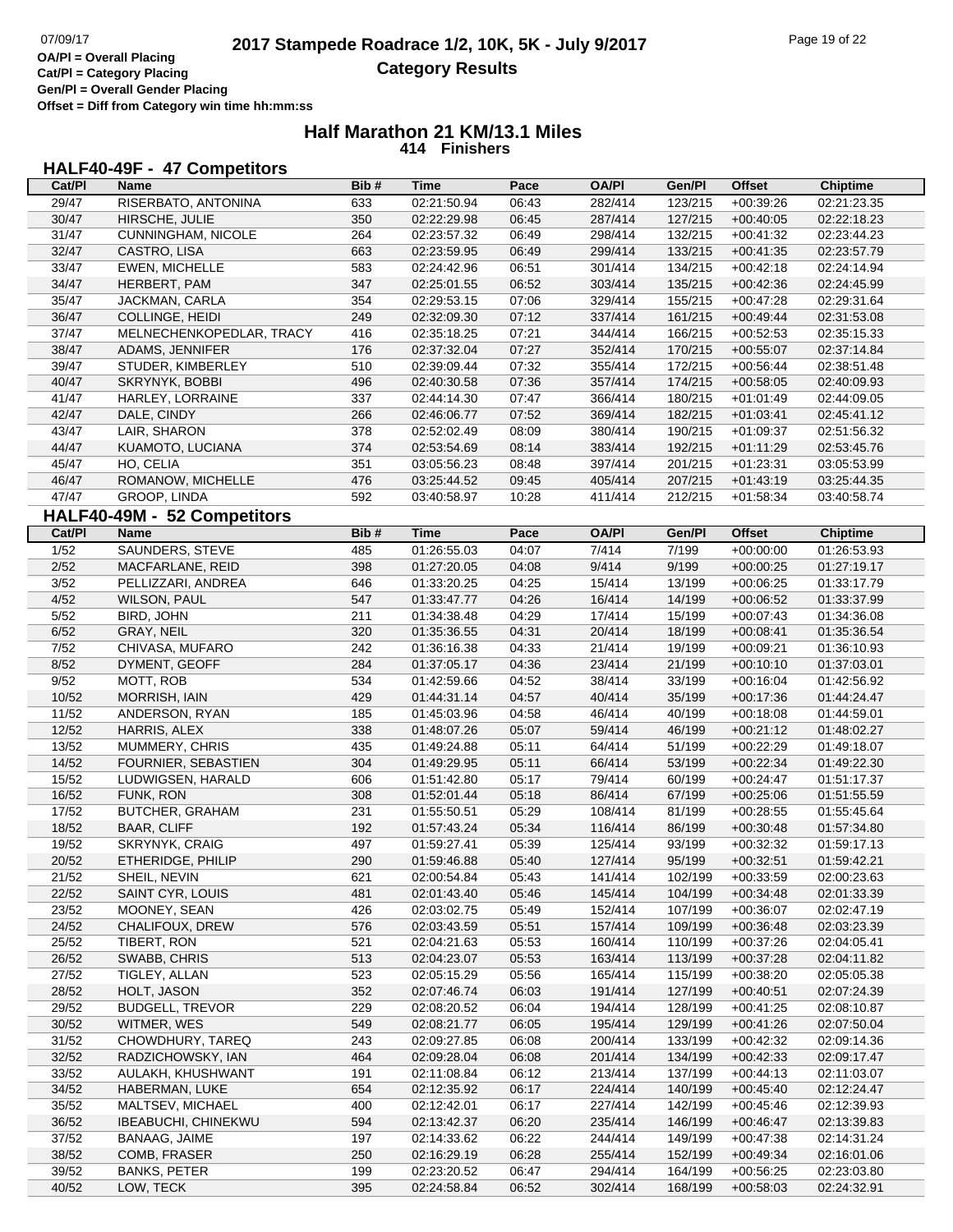**Gen/Pl = Overall Gender Placing Offset = Diff from Category win time hh:mm:ss**

#### **Half Marathon 21 KM/13.1 Miles 414 Finishers**

## **HALF40-49F - 47 Competitors**

| Cat/PI | <b>Name</b>                 | Bib# | <b>Time</b>                | Pace  | <b>OA/PI</b> | Gen/Pl  | <b>Offset</b>              | <b>Chiptime</b>            |
|--------|-----------------------------|------|----------------------------|-------|--------------|---------|----------------------------|----------------------------|
| 29/47  | RISERBATO, ANTONINA         | 633  | 02:21:50.94                | 06:43 | 282/414      | 123/215 | $+00:39:26$                | 02:21:23.35                |
| 30/47  | HIRSCHE, JULIE              | 350  | 02:22:29.98                | 06:45 | 287/414      | 127/215 | $+00:40:05$                | 02:22:18.23                |
| 31/47  | CUNNINGHAM, NICOLE          | 264  | 02:23:57.32                | 06:49 | 298/414      | 132/215 | $+00:41:32$                | 02:23:44.23                |
| 32/47  | CASTRO, LISA                | 663  | 02:23:59.95                | 06:49 | 299/414      | 133/215 | $+00:41:35$                | 02:23:57.79                |
| 33/47  | EWEN, MICHELLE              | 583  | 02:24:42.96                | 06:51 | 301/414      | 134/215 | $+00:42:18$                | 02:24:14.94                |
| 34/47  | HERBERT, PAM                | 347  | 02:25:01.55                | 06:52 | 303/414      | 135/215 | $+00:42:36$                | 02:24:45.99                |
| 35/47  | JACKMAN, CARLA              | 354  | 02:29:53.15                | 07:06 | 329/414      | 155/215 | $+00:47:28$                | 02:29:31.64                |
| 36/47  | COLLINGE, HEIDI             | 249  | 02:32:09.30                | 07:12 | 337/414      | 161/215 | $+00.49:44$                | 02:31:53.08                |
| 37/47  | MELNECHENKOPEDLAR, TRACY    | 416  | 02:35:18.25                | 07:21 | 344/414      | 166/215 | $+00:52:53$                | 02:35:15.33                |
|        |                             |      |                            |       |              |         |                            |                            |
| 38/47  | ADAMS, JENNIFER             | 176  | 02:37:32.04                | 07:27 | 352/414      | 170/215 | $+00:55:07$                | 02:37:14.84                |
| 39/47  | STUDER, KIMBERLEY           | 510  | 02:39:09.44                | 07:32 | 355/414      | 172/215 | $+00:56:44$                | 02:38:51.48                |
| 40/47  | SKRYNYK, BOBBI              | 496  | 02:40:30.58                | 07:36 | 357/414      | 174/215 | $+00:58:05$                | 02:40:09.93                |
| 41/47  | HARLEY, LORRAINE            | 337  | 02:44:14.30                | 07:47 | 366/414      | 180/215 | $+01:01:49$                | 02:44:09.05                |
| 42/47  | DALE, CINDY                 | 266  | 02:46:06.77                | 07:52 | 369/414      | 182/215 | $+01:03:41$                | 02:45:41.12                |
| 43/47  | LAIR, SHARON                | 378  | 02:52:02.49                | 08:09 | 380/414      | 190/215 | $+01:09:37$                | 02:51:56.32                |
| 44/47  | KUAMOTO, LUCIANA            | 374  | 02:53:54.69                | 08:14 | 383/414      | 192/215 | $+01:11:29$                | 02:53:45.76                |
| 45/47  | HO, CELIA                   | 351  | 03:05:56.23                | 08:48 | 397/414      | 201/215 | $+01:23:31$                | 03:05:53.99                |
| 46/47  | ROMANOW, MICHELLE           | 476  | 03:25:44.52                | 09:45 | 405/414      | 207/215 | $+01:43:19$                | 03:25:44.35                |
| 47/47  | GROOP, LINDA                | 592  | 03:40:58.97                | 10:28 | 411/414      | 212/215 | $+01:58:34$                | 03:40:58.74                |
|        | HALF40-49M - 52 Competitors |      |                            |       |              |         |                            |                            |
| Cat/PI | <b>Name</b>                 | Bib# | <b>Time</b>                | Pace  | <b>OA/PI</b> | Gen/Pl  | <b>Offset</b>              | <b>Chiptime</b>            |
| 1/52   | SAUNDERS, STEVE             | 485  | 01:26:55.03                | 04:07 | 7/414        | 7/199   | $+00:00:00$                | 01:26:53.93                |
| 2/52   | MACFARLANE, REID            | 398  | 01:27:20.05                | 04:08 | 9/414        | 9/199   | $+00:00:25$                | 01:27:19.17                |
| 3/52   |                             |      |                            |       | 15/414       | 13/199  | $+00:06:25$                | 01:33:17.79                |
|        | PELLIZZARI, ANDREA          | 646  | 01:33:20.25                | 04:25 |              |         |                            |                            |
| 4/52   | <b>WILSON, PAUL</b>         | 547  | 01:33:47.77                | 04:26 | 16/414       | 14/199  | $+00:06:52$                | 01:33:37.99                |
| 5/52   | BIRD, JOHN                  | 211  | 01:34:38.48                | 04:29 | 17/414       | 15/199  | $+00:07:43$                | 01:34:36.08                |
| 6/52   | GRAY, NEIL                  | 320  | 01:35:36.55                | 04:31 | 20/414       | 18/199  | $+00:08:41$                | 01:35:36.54                |
| 7/52   | CHIVASA, MUFARO             | 242  | 01:36:16.38                | 04:33 | 21/414       | 19/199  | $+00:09:21$                | 01:36:10.93                |
| 8/52   | DYMENT, GEOFF               | 284  | 01:37:05.17                | 04:36 | 23/414       | 21/199  | $+00:10:10$                | 01:37:03.01                |
| 9/52   | MOTT, ROB                   | 534  | 01:42:59.66                | 04:52 | 38/414       | 33/199  | $+00:16:04$                | 01:42:56.92                |
| 10/52  | <b>MORRISH, IAIN</b>        | 429  | 01:44:31.14                | 04:57 | 40/414       | 35/199  | $+00:17:36$                | 01:44:24.47                |
| 11/52  | ANDERSON, RYAN              | 185  | 01:45:03.96                | 04:58 | 46/414       | 40/199  | $+00:18:08$                | 01:44:59.01                |
| 12/52  | HARRIS, ALEX                | 338  | 01:48:07.26                | 05:07 | 59/414       | 46/199  | $+00:21:12$                | 01:48:02.27                |
| 13/52  | MUMMERY, CHRIS              | 435  | 01:49:24.88                | 05:11 | 64/414       | 51/199  | $+00:22:29$                | 01:49:18.07                |
| 14/52  | FOURNIER, SEBASTIEN         | 304  | 01:49:29.95                | 05:11 | 66/414       | 53/199  | $+00:22:34$                | 01:49:22.30                |
| 15/52  | LUDWIGSEN, HARALD           | 606  | 01:51:42.80                | 05:17 | 79/414       | 60/199  | $+00:24:47$                | 01:51:17.37                |
| 16/52  | FUNK, RON                   | 308  | 01:52:01.44                | 05:18 | 86/414       | 67/199  | $+00:25:06$                | 01:51:55.59                |
| 17/52  | <b>BUTCHER, GRAHAM</b>      | 231  | 01:55:50.51                | 05:29 | 108/414      | 81/199  | $+00:28:55$                | 01:55:45.64                |
| 18/52  | <b>BAAR, CLIFF</b>          | 192  | 01:57:43.24                | 05:34 | 116/414      | 86/199  | $+00:30:48$                | 01:57:34.80                |
| 19/52  | SKRYNYK, CRAIG              | 497  | 01:59:27.41                | 05:39 | 125/414      | 93/199  | $+00:32:32$                | 01:59:17.13                |
| 20/52  | ETHERIDGE, PHILIP           | 290  | 01:59:46.88                | 05:40 | 127/414      | 95/199  | $+00:32:51$                | 01:59:42.21                |
| 21/52  | SHEIL, NEVIN                | 621  | 02:00:54.84                | 05:43 | 141/414      | 102/199 | $+00:33:59$                | 02:00:23.63                |
| 22/52  | SAINT CYR, LOUIS            | 481  | 02:01:43.40                | 05:46 | 145/414      | 104/199 | $+00.34.48$                | 02:01:33.39                |
| 23/52  | MOONEY, SEAN                | 426  | 02:03:02.75                | 05:49 | 152/414      | 107/199 | $+00:36:07$                | 02:02:47.19                |
| 24/52  | CHALIFOUX, DREW             | 576  | 02:03:43.59                | 05:51 | 157/414      | 109/199 | $+00:36:48$                | 02:03:23.39                |
| 25/52  | TIBERT, RON                 | 521  | 02:04:21.63                | 05:53 | 160/414      | 110/199 | $+00:37:26$                | 02:04:05.41                |
| 26/52  | SWABB, CHRIS                | 513  | 02:04:23.07                | 05:53 | 163/414      | 113/199 | $+00:37:28$                | 02:04:11.82                |
| 27/52  | TIGLEY, ALLAN               | 523  | 02:05:15.29                | 05:56 | 165/414      | 115/199 | $+00:38:20$                | 02:05:05.38                |
| 28/52  | HOLT, JASON                 | 352  | 02:07:46.74                | 06:03 | 191/414      | 127/199 | $+00:40:51$                | 02:07:24.39                |
| 29/52  | <b>BUDGELL, TREVOR</b>      | 229  | 02:08:20.52                | 06:04 | 194/414      | 128/199 | $+00:41:25$                | 02:08:10.87                |
| 30/52  | WITMER, WES                 | 549  | 02:08:21.77                | 06:05 | 195/414      | 129/199 | $+00:41:26$                | 02:07:50.04                |
| 31/52  | CHOWDHURY, TAREQ            | 243  | 02:09:27.85                | 06:08 | 200/414      | 133/199 | $+00:42:32$                | 02:09:14.36                |
| 32/52  | RADZICHOWSKY, IAN           | 464  |                            | 06:08 | 201/414      | 134/199 |                            |                            |
| 33/52  | AULAKH, KHUSHWANT           | 191  | 02:09:28.04<br>02:11:08.84 | 06:12 | 213/414      | 137/199 | $+00:42:33$<br>$+00:44:13$ | 02:09:17.47<br>02:11:03.07 |
|        |                             |      |                            |       |              |         |                            |                            |
| 34/52  | HABERMAN, LUKE              | 654  | 02:12:35.92                | 06:17 | 224/414      | 140/199 | $+00:45:40$                | 02:12:24.47                |
| 35/52  | MALTSEV, MICHAEL            | 400  | 02:12:42.01                | 06:17 | 227/414      | 142/199 | $+00:45:46$                | 02:12:39.93                |
| 36/52  | <b>IBEABUCHI, CHINEKWU</b>  | 594  | 02:13:42.37                | 06:20 | 235/414      | 146/199 | $+00:46:47$                | 02:13:39.83                |
| 37/52  | BANAAG, JAIME               | 197  | 02:14:33.62                | 06:22 | 244/414      | 149/199 | $+00:47:38$                | 02:14:31.24                |
| 38/52  | COMB, FRASER                | 250  | 02:16:29.19                | 06:28 | 255/414      | 152/199 | $+00:49:34$                | 02:16:01.06                |
| 39/52  | <b>BANKS, PETER</b>         | 199  | 02:23:20.52                | 06:47 | 294/414      | 164/199 | $+00:56:25$                | 02:23:03.80                |
| 40/52  | LOW, TECK                   | 395  | 02:24:58.84                | 06:52 | 302/414      | 168/199 | $+00:58:03$                | 02:24:32.91                |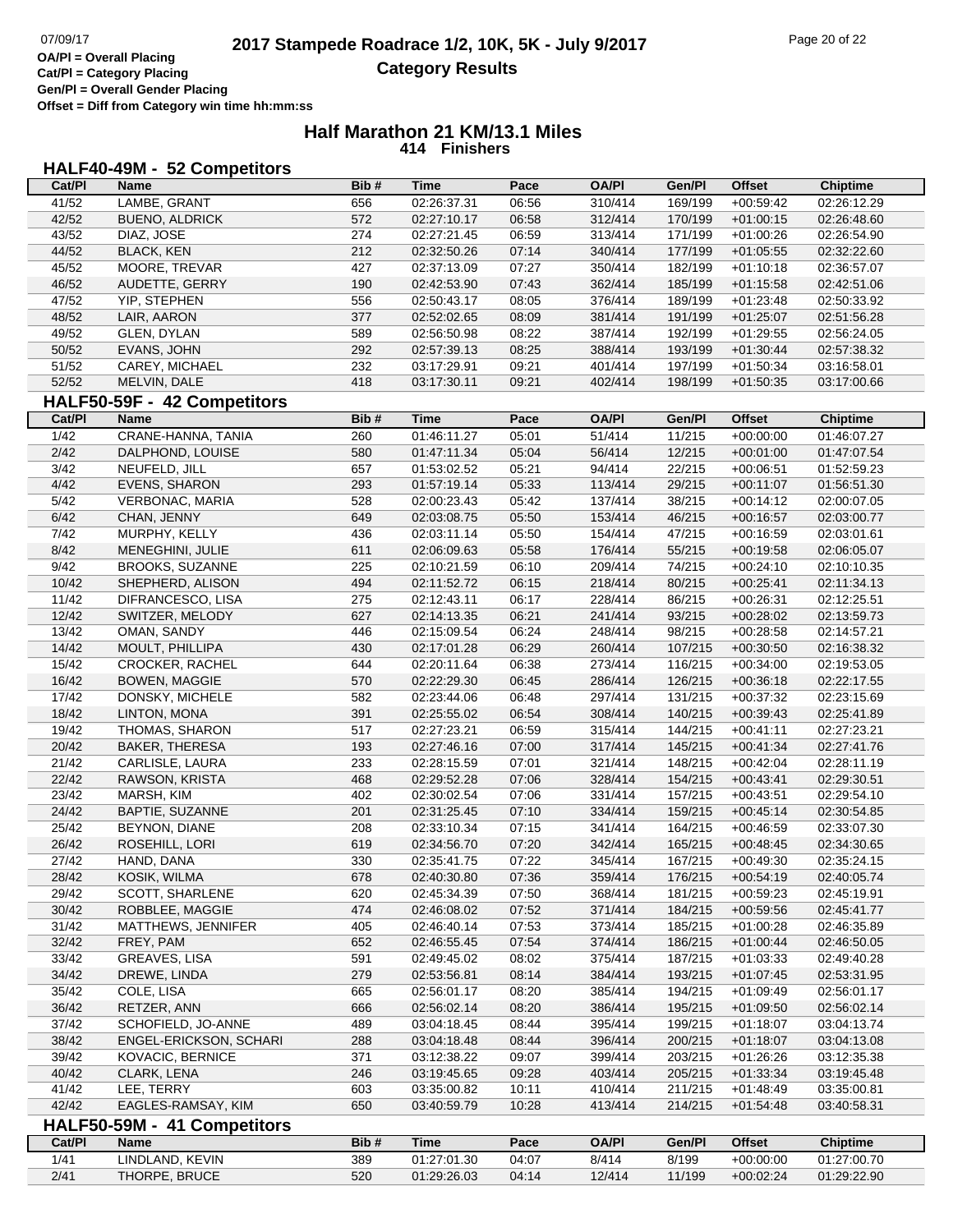**Cat/Pl = Category Placing Gen/Pl = Overall Gender Placing Offset = Diff from Category win time hh:mm:ss**

#### **Half Marathon 21 KM/13.1 Miles 414 Finishers**

## **HALF40-49M - 52 Competitors**

| Cat/PI         | Name                        | Bib# | <b>Time</b> | Pace  | <b>OA/PI</b> | Gen/Pl  | <b>Offset</b>     | <b>Chiptime</b> |
|----------------|-----------------------------|------|-------------|-------|--------------|---------|-------------------|-----------------|
| 41/52          | LAMBE, GRANT                | 656  | 02:26:37.31 | 06:56 | 310/414      | 169/199 | $+00:59:42$       | 02:26:12.29     |
| 42/52          | <b>BUENO, ALDRICK</b>       | 572  | 02:27:10.17 | 06:58 | 312/414      | 170/199 | $+01:00:15$       | 02:26:48.60     |
| 43/52          | DIAZ, JOSE                  | 274  | 02:27:21.45 | 06:59 | 313/414      | 171/199 | $+01:00:26$       | 02:26:54.90     |
| 44/52          | <b>BLACK, KEN</b>           | 212  | 02:32:50.26 | 07:14 | 340/414      | 177/199 | $+01:05:55$       | 02:32:22.60     |
| 45/52          | MOORE, TREVAR               | 427  | 02:37:13.09 | 07:27 | 350/414      | 182/199 | $+01:10:18$       | 02:36:57.07     |
| 46/52          | AUDETTE, GERRY              | 190  | 02:42:53.90 | 07:43 | 362/414      | 185/199 | $+01:15:58$       | 02:42:51.06     |
| 47/52          | <b>YIP, STEPHEN</b>         | 556  | 02:50:43.17 | 08:05 | 376/414      | 189/199 | $+01:23:48$       | 02:50:33.92     |
| 48/52          | LAIR, AARON                 | 377  | 02:52:02.65 | 08:09 | 381/414      | 191/199 | $+01:25:07$       | 02:51:56.28     |
| 49/52          | GLEN, DYLAN                 | 589  | 02:56:50.98 | 08:22 | 387/414      | 192/199 | $+01:29:55$       | 02:56:24.05     |
| 50/52          | EVANS, JOHN                 | 292  | 02:57:39.13 | 08:25 | 388/414      | 193/199 | $+01:30:44$       | 02:57:38.32     |
| 51/52          | CAREY, MICHAEL              | 232  | 03:17:29.91 | 09:21 | 401/414      | 197/199 | $+01:50:34$       | 03:16:58.01     |
| 52/52          | MELVIN, DALE                | 418  | 03:17:30.11 | 09:21 | 402/414      | 198/199 | $+01:50:35$       | 03:17:00.66     |
|                | HALF50-59F - 42 Competitors |      |             |       |              |         |                   |                 |
| Cat/PI         | Name                        | Bib# | <b>Time</b> | Pace  | <b>OA/PI</b> | Gen/Pl  | <b>Offset</b>     | <b>Chiptime</b> |
|                |                             |      |             |       |              |         |                   |                 |
| $\frac{1}{42}$ | CRANE-HANNA, TANIA          | 260  | 01:46:11.27 | 05:01 | 51/414       | 11/215  | $+00:00:00$       | 01:46:07.27     |
| 2/42           | DALPHOND, LOUISE            | 580  | 01:47:11.34 | 05:04 | 56/414       | 12/215  | $+00:01:00$       | 01:47:07.54     |
| 3/42           | NEUFELD, JILL               | 657  | 01:53:02.52 | 05:21 | 94/414       | 22/215  | $+00:06:51$       | 01:52:59.23     |
| 4/42           | <b>EVENS, SHARON</b>        | 293  | 01:57:19.14 | 05:33 | 113/414      | 29/215  | $+00:11:07$       | 01:56:51.30     |
| 5/42           | VERBONAC, MARIA             | 528  | 02:00:23.43 | 05:42 | 137/414      | 38/215  | $+00:14:12$       | 02:00:07.05     |
| 6/42           | CHAN, JENNY                 | 649  | 02:03:08.75 | 05:50 | 153/414      | 46/215  | $+00:16:57$       | 02:03:00.77     |
| 7/42           | MURPHY, KELLY               | 436  | 02:03:11.14 | 05:50 | 154/414      | 47/215  | $+00:16:59$       | 02:03:01.61     |
| 8/42           | MENEGHINI, JULIE            | 611  | 02:06:09.63 | 05:58 | 176/414      | 55/215  | $+00:19:58$       | 02:06:05.07     |
| 9/42           | <b>BROOKS, SUZANNE</b>      | 225  | 02:10:21.59 | 06:10 | 209/414      | 74/215  | $+00:24:10$       | 02:10:10.35     |
| 10/42          | SHEPHERD, ALISON            | 494  | 02:11:52.72 | 06:15 | 218/414      | 80/215  | $+00:25:41$       | 02:11:34.13     |
| 11/42          | DIFRANCESCO, LISA           | 275  | 02:12:43.11 | 06:17 | 228/414      | 86/215  | $+00:26:31$       | 02:12:25.51     |
| 12/42          | SWITZER, MELODY             | 627  | 02:14:13.35 | 06:21 | 241/414      | 93/215  | $+00:28:02$       | 02:13:59.73     |
| 13/42          | OMAN, SANDY                 | 446  | 02:15:09.54 | 06:24 | 248/414      | 98/215  | $+00:28:58$       | 02:14:57.21     |
| 14/42          | MOULT, PHILLIPA             | 430  | 02:17:01.28 | 06:29 | 260/414      | 107/215 | $+00:30:50$       | 02:16:38.32     |
| 15/42          | CROCKER, RACHEL             | 644  | 02:20:11.64 | 06:38 | 273/414      | 116/215 | $+00:34:00$       | 02:19:53.05     |
| 16/42          | <b>BOWEN, MAGGIE</b>        | 570  | 02:22:29.30 | 06:45 | 286/414      | 126/215 | $+00:36:18$       | 02:22:17.55     |
| 17/42          | DONSKY, MICHELE             | 582  | 02:23:44.06 | 06:48 | 297/414      | 131/215 | $+00:37:32$       | 02:23:15.69     |
| 18/42          | LINTON, MONA                | 391  | 02:25:55.02 | 06:54 | 308/414      | 140/215 | $+00:39:43$       | 02:25:41.89     |
| 19/42          | THOMAS, SHARON              | 517  | 02:27:23.21 | 06:59 | 315/414      | 144/215 | $+00:41:11$       | 02:27:23.21     |
| 20/42          | BAKER, THERESA              | 193  | 02:27:46.16 | 07:00 | 317/414      | 145/215 | $+00:41:34$       | 02:27:41.76     |
| 21/42          | CARLISLE, LAURA             | 233  | 02:28:15.59 | 07:01 | 321/414      | 148/215 | $+00:42:04$       | 02:28:11.19     |
| 22/42          | RAWSON, KRISTA              | 468  | 02:29:52.28 | 07:06 | 328/414      | 154/215 | $+00:43:41$       | 02:29:30.51     |
| 23/42          | MARSH, KIM                  | 402  | 02:30:02.54 | 07:06 | 331/414      | 157/215 | $+00:43:51$       | 02:29:54.10     |
| 24/42          | BAPTIE, SUZANNE             | 201  | 02:31:25.45 | 07:10 | 334/414      | 159/215 | $+00:45:14$       | 02:30:54.85     |
| 25/42          | BEYNON, DIANE               | 208  | 02:33:10.34 | 07:15 | 341/414      | 164/215 | $+00:46:59$       | 02:33:07.30     |
| 26/42          | ROSEHILL, LORI              | 619  | 02:34:56.70 | 07:20 | 342/414      | 165/215 | $+00:48:45$       | 02:34:30.65     |
| 27/42          | HAND, DANA                  | 330  | 02:35:41.75 | 07:22 | 345/414      | 167/215 | $+00.49.30$       | 02:35:24.15     |
| 28/42          | KOSIK, WILMA                | 678  | 02:40:30.80 | 07:36 | 359/414      |         | 176/215 +00:54:19 | 02:40:05.74     |
| 29/42          | SCOTT, SHARLENE             | 620  | 02:45:34.39 | 07:50 | 368/414      | 181/215 | $+00.59.23$       | 02:45:19.91     |
| 30/42          | ROBBLEE, MAGGIE             | 474  | 02:46:08.02 | 07:52 | 371/414      | 184/215 | $+00.59.56$       | 02:45:41.77     |
| 31/42          | MATTHEWS, JENNIFER          | 405  | 02:46:40.14 | 07:53 | 373/414      | 185/215 | $+01:00:28$       | 02:46:35.89     |
| 32/42          | FREY, PAM                   | 652  | 02:46:55.45 | 07:54 | 374/414      | 186/215 | $+01:00:44$       | 02:46:50.05     |
| 33/42          | GREAVES, LISA               | 591  | 02:49:45.02 | 08:02 | 375/414      | 187/215 | $+01:03:33$       | 02:49:40.28     |
| 34/42          | DREWE, LINDA                | 279  | 02:53:56.81 | 08:14 | 384/414      | 193/215 | $+01:07:45$       | 02:53:31.95     |
| 35/42          | COLE, LISA                  | 665  | 02:56:01.17 | 08:20 | 385/414      | 194/215 | $+01:09:49$       | 02:56:01.17     |
| 36/42          | RETZER, ANN                 | 666  | 02:56:02.14 | 08:20 | 386/414      | 195/215 | $+01:09:50$       | 02:56:02.14     |
| 37/42          | SCHOFIELD, JO-ANNE          | 489  | 03:04:18.45 | 08:44 | 395/414      | 199/215 | $+01:18:07$       | 03:04:13.74     |
| 38/42          | ENGEL-ERICKSON, SCHARI      | 288  | 03:04:18.48 | 08:44 | 396/414      | 200/215 | $+01:18:07$       | 03:04:13.08     |
| 39/42          | <b>KOVACIC, BERNICE</b>     | 371  | 03:12:38.22 | 09:07 | 399/414      | 203/215 | $+01:26:26$       | 03:12:35.38     |
| 40/42          | CLARK, LENA                 | 246  | 03:19:45.65 | 09:28 | 403/414      | 205/215 | $+01:33:34$       | 03:19:45.48     |
| 41/42          | LEE, TERRY                  | 603  | 03:35:00.82 | 10:11 | 410/414      | 211/215 | $+01:48:49$       | 03:35:00.81     |
| 42/42          | EAGLES-RAMSAY, KIM          | 650  | 03:40:59.79 | 10:28 | 413/414      | 214/215 | $+01:54:48$       | 03:40:58.31     |
|                | HALF50-59M - 41 Competitors |      |             |       |              |         |                   |                 |
| Cat/PI         | Name                        | Bib# | <b>Time</b> | Pace  | <b>OA/PI</b> | Gen/Pl  | <b>Offset</b>     | <b>Chiptime</b> |
| 1/41           | LINDLAND, KEVIN             | 389  | 01:27:01.30 | 04:07 | 8/414        | 8/199   | $+00:00:00$       | 01:27:00.70     |
| 2/41           | THORPE, BRUCE               | 520  | 01:29:26.03 | 04:14 | 12/414       | 11/199  | $+00:02:24$       | 01:29:22.90     |
|                |                             |      |             |       |              |         |                   |                 |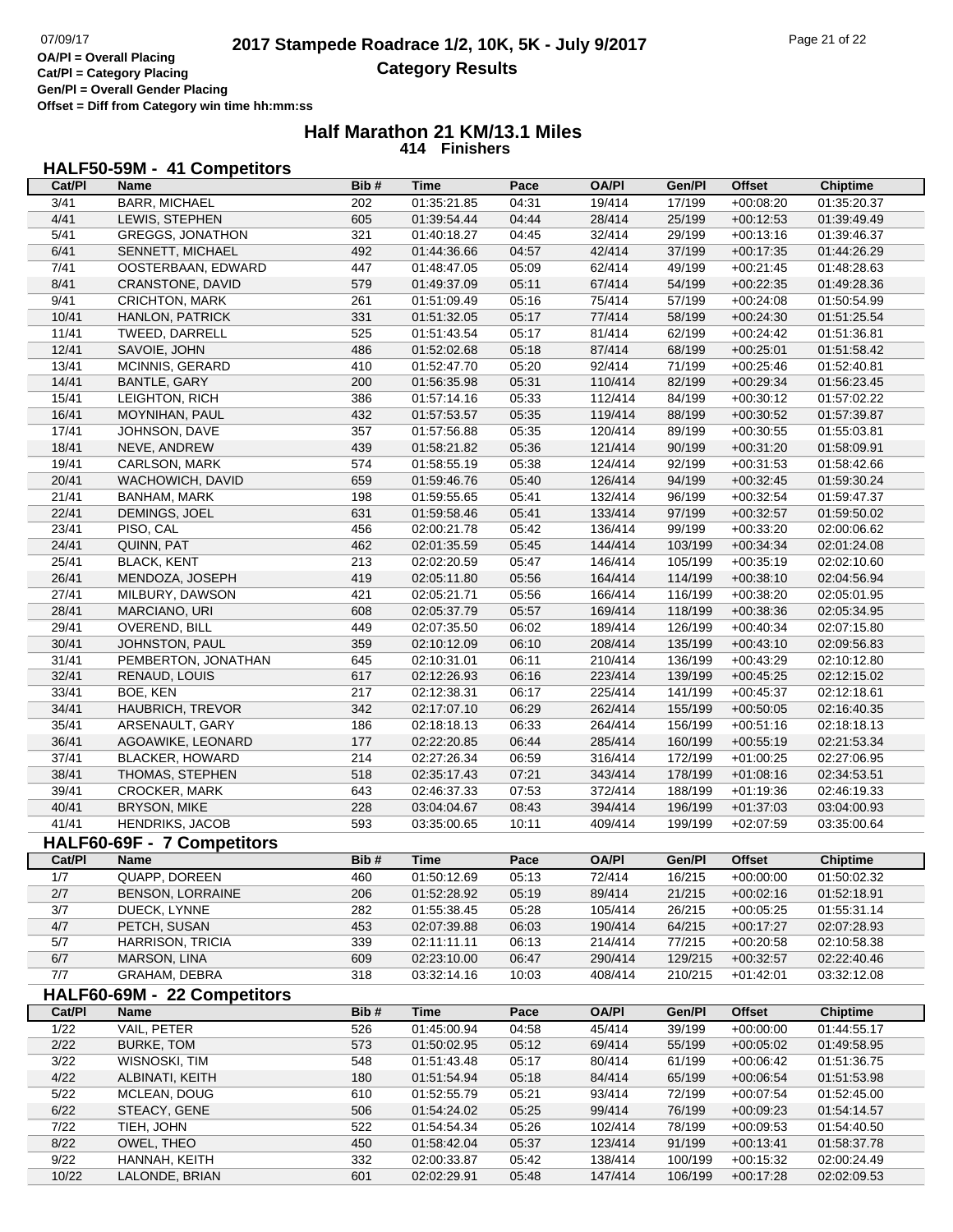**Cat/Pl = Category Placing Gen/Pl = Overall Gender Placing Offset = Diff from Category win time hh:mm:ss**

#### **Half Marathon 21 KM/13.1 Miles 414 Finishers**

# **HALF50-59M - 41 Competitors**

| Cat/PI         | <b>Name</b>                 | Bib#       | <b>Time</b> | Pace           | <b>OA/PI</b>       | Gen/Pl             | <b>Offset</b> | <b>Chiptime</b>            |
|----------------|-----------------------------|------------|-------------|----------------|--------------------|--------------------|---------------|----------------------------|
| 3/41           | <b>BARR, MICHAEL</b>        | 202        | 01:35:21.85 | 04:31          | 19/414             | 17/199             | $+00:08:20$   | 01:35:20.37                |
| 4/41           | LEWIS, STEPHEN              | 605        | 01:39:54.44 | 04:44          | 28/414             | 25/199             | $+00:12:53$   | 01:39:49.49                |
| 5/41           | <b>GREGGS, JONATHON</b>     | 321        | 01:40:18.27 | 04:45          | 32/414             | 29/199             | $+00:13:16$   | 01:39:46.37                |
| 6/41           | SENNETT, MICHAEL            | 492        | 01:44:36.66 | 04:57          | 42/414             | 37/199             | $+00:17:35$   | 01:44:26.29                |
| 7/41           | OOSTERBAAN, EDWARD          | 447        | 01:48:47.05 | 05:09          | 62/414             | 49/199             | $+00:21:45$   | 01:48:28.63                |
| 8/41           | CRANSTONE, DAVID            | 579        | 01:49:37.09 | 05:11          | 67/414             | 54/199             | $+00:22:35$   | 01:49:28.36                |
| 9/41           | CRICHTON, MARK              | 261        | 01:51:09.49 | 05:16          | 75/414             | 57/199             | $+00:24:08$   | 01:50:54.99                |
| 10/41          | HANLON, PATRICK             | 331        | 01:51:32.05 | 05:17          | 77/414             | 58/199             | $+00:24:30$   | 01:51:25.54                |
| 11/41          | TWEED, DARRELL              | 525        | 01:51:43.54 | 05:17          | 81/414             | 62/199             | $+00:24:42$   | 01:51:36.81                |
| 12/41          | SAVOIE, JOHN                | 486        | 01:52:02.68 | 05:18          | 87/414             | 68/199             | $+00:25:01$   | 01:51:58.42                |
| 13/41          | MCINNIS, GERARD             | 410        | 01:52:47.70 | 05:20          | 92/414             | 71/199             | $+00:25:46$   | 01:52:40.81                |
| 14/41          | BANTLE, GARY                | 200        | 01:56:35.98 | 05:31          | 110/414            | 82/199             | $+00:29:34$   | 01:56:23.45                |
| 15/41          | LEIGHTON, RICH              | 386        | 01:57:14.16 | 05:33          | 112/414            | 84/199             | $+00:30:12$   | 01:57:02.22                |
| 16/41          | MOYNIHAN, PAUL              | 432        | 01:57:53.57 | 05:35          | 119/414            | 88/199             | $+00:30:52$   | 01:57:39.87                |
| 17/41          | JOHNSON, DAVE               | 357        | 01:57:56.88 | 05:35          | 120/414            | 89/199             | $+00:30:55$   | 01:55:03.81                |
| 18/41          | NEVE, ANDREW                | 439        | 01:58:21.82 | 05:36          | 121/414            | 90/199             | $+00:31:20$   | 01:58:09.91                |
| 19/41          | <b>CARLSON, MARK</b>        | 574        | 01:58:55.19 | 05:38          | 124/414            | 92/199             | $+00:31:53$   | 01:58:42.66                |
| 20/41          | WACHOWICH, DAVID            | 659        | 01:59:46.76 | 05:40          | 126/414            | 94/199             | $+00:32:45$   | 01:59:30.24                |
| 21/41          | BANHAM, MARK                | 198        | 01:59:55.65 | 05:41          | 132/414            | 96/199             | $+00:32:54$   | 01:59:47.37                |
| 22/41          | DEMINGS, JOEL               | 631        | 01:59:58.46 | 05:41          | 133/414            | 97/199             | $+00:32:57$   | 01:59:50.02                |
| 23/41          | PISO, CAL                   | 456        | 02:00:21.78 | 05:42          | 136/414            | 99/199             | $+00:33:20$   | 02:00:06.62                |
| 24/41          | QUINN, PAT                  | 462        | 02:01:35.59 | 05:45          | 144/414            | 103/199            | $+00:34:34$   | 02:01:24.08                |
| 25/41          | <b>BLACK, KENT</b>          | 213        | 02:02:20.59 | 05:47          | 146/414            | 105/199            | $+00:35:19$   | 02:02:10.60                |
| 26/41          | MENDOZA, JOSEPH             | 419        | 02:05:11.80 | 05:56          | 164/414            | 114/199            | $+00:38:10$   | 02:04:56.94                |
| 27/41          | MILBURY, DAWSON             | 421        | 02:05:21.71 | 05:56          | 166/414            | 116/199            | $+00:38:20$   | 02:05:01.95                |
| 28/41          | MARCIANO, URI               | 608        | 02:05:37.79 | 05:57          | 169/414            | 118/199            | $+00:38:36$   | 02:05:34.95                |
| 29/41          | OVEREND, BILL               | 449        | 02:07:35.50 | 06:02          | 189/414            | 126/199            | $+00:40:34$   | 02:07:15.80                |
| 30/41          | JOHNSTON, PAUL              | 359        | 02:10:12.09 | 06:10          | 208/414            | 135/199            | $+00:43:10$   | 02:09:56.83                |
| 31/41          | PEMBERTON, JONATHAN         | 645        | 02:10:31.01 | 06:11          | 210/414            | 136/199            | $+00:43:29$   | 02:10:12.80                |
| 32/41          | RENAUD, LOUIS               | 617        | 02:12:26.93 | 06:16          | 223/414            | 139/199            | $+00:45:25$   | 02:12:15.02                |
| 33/41          | BOE, KEN                    | 217        | 02:12:38.31 | 06:17          | 225/414            | 141/199            | $+00:45:37$   | 02:12:18.61                |
| 34/41          | HAUBRICH, TREVOR            | 342        | 02:17:07.10 | 06:29          | 262/414            | 155/199            | $+00:50:05$   | 02:16:40.35                |
| 35/41          | ARSENAULT, GARY             | 186        | 02:18:18.13 | 06:33          | 264/414            | 156/199            | $+00:51:16$   | 02:18:18.13                |
|                |                             | 177        |             | 06:44          | 285/414            |                    |               |                            |
| 36/41<br>37/41 | AGOAWIKE, LEONARD           |            | 02:22:20.85 |                |                    | 160/199            | $+00:55:19$   | 02:21:53.34                |
| 38/41          | <b>BLACKER, HOWARD</b>      | 214<br>518 | 02:27:26.34 | 06:59<br>07:21 | 316/414<br>343/414 | 172/199            | $+01:00:25$   | 02:27:06.95                |
|                | THOMAS, STEPHEN             |            | 02:35:17.43 | 07:53          |                    | 178/199            | $+01:08:16$   | 02:34:53.51                |
| 39/41          | CROCKER, MARK               | 643<br>228 | 02:46:37.33 |                | 372/414<br>394/414 | 188/199<br>196/199 | $+01:19:36$   | 02:46:19.33<br>03:04:00.93 |
| 40/41<br>41/41 | <b>BRYSON, MIKE</b>         | 593        | 03:04:04.67 | 08:43          | 409/414            |                    | $+01:37:03$   |                            |
|                | <b>HENDRIKS, JACOB</b>      |            | 03:35:00.65 | 10:11          |                    | 199/199            | $+02:07:59$   | 03:35:00.64                |
|                | HALF60-69F - 7 Competitors  |            |             |                |                    |                    |               |                            |
| Cat/Pl         | <b>Name</b>                 | Bib#       | <b>Time</b> | Pace           | <b>OA/PI</b>       | Gen/Pl             | <b>Offset</b> | <b>Chiptime</b>            |
| 1/7            | QUAPP, DOREEN               | 460        | 01:50:12.69 | 05:13          | 72/414             | 16/215             | $+00:00:00$   | 01:50:02.32                |
| 2/7            | <b>BENSON, LORRAINE</b>     | 206        | 01:52:28.92 | 05:19          | 89/414             | 21/215             | $+00:02:16$   | 01:52:18.91                |
| 3/7            | DUECK, LYNNE                | 282        | 01:55:38.45 | 05:28          | 105/414            | 26/215             | $+00:05:25$   | 01:55:31.14                |
| 4/7            | PETCH, SUSAN                | 453        | 02:07:39.88 | 06:03          | 190/414            | 64/215             | $+00:17:27$   | 02:07:28.93                |
| 5/7            | <b>HARRISON, TRICIA</b>     | 339        | 02:11:11.11 | 06:13          | 214/414            | 77/215             | $+00:20:58$   | 02:10:58.38                |
| 6/7            | MARSON, LINA                | 609        | 02:23:10.00 | 06:47          | 290/414            | 129/215            | $+00:32:57$   | 02:22:40.46                |
| 7/7            | GRAHAM, DEBRA               | 318        | 03:32:14.16 | 10:03          | 408/414            | 210/215            | $+01:42:01$   | 03:32:12.08                |
|                | HALF60-69M - 22 Competitors |            |             |                |                    |                    |               |                            |
| Cat/PI         | Name                        | Bib#       | <b>Time</b> | Pace           | <b>OA/PI</b>       | Gen/Pl             | <b>Offset</b> | <b>Chiptime</b>            |
| 1/22           | VAIL, PETER                 | 526        | 01:45:00.94 | 04:58          | 45/414             | 39/199             | $+00:00:00$   | 01:44:55.17                |
| 2/22           | <b>BURKE, TOM</b>           | 573        | 01:50:02.95 | 05:12          | 69/414             | 55/199             | $+00:05:02$   | 01:49:58.95                |
| 3/22           | WISNOSKI, TIM               | 548        | 01:51:43.48 | 05:17          | 80/414             | 61/199             | $+00:06:42$   | 01:51:36.75                |
| 4/22           | ALBINATI, KEITH             | 180        | 01:51:54.94 | 05:18          | 84/414             | 65/199             | $+00:06:54$   | 01:51:53.98                |
| $5/22$         | MCLEAN, DOUG                | 610        | 01:52:55.79 | 05:21          | 93/414             | 72/199             | $+00:07:54$   | 01:52:45.00                |
| 6/22           | STEACY, GENE                | 506        | 01:54:24.02 | 05:25          | 99/414             | 76/199             | $+00:09:23$   | 01:54:14.57                |
| 7/22           | TIEH, JOHN                  | 522        | 01:54:54.34 | 05:26          | 102/414            | 78/199             | $+00:09:53$   | 01:54:40.50                |
| 8/22           | OWEL, THEO                  | 450        | 01:58:42.04 | 05:37          | 123/414            | 91/199             | $+00:13:41$   | 01:58:37.78                |
| 9/22           | HANNAH, KEITH               | 332        | 02:00:33.87 | 05:42          | 138/414            | 100/199            | $+00:15:32$   | 02:00:24.49                |
| 10/22          | LALONDE, BRIAN              | 601        | 02:02:29.91 | 05:48          | 147/414            | 106/199            | $+00:17:28$   | 02:02:09.53                |